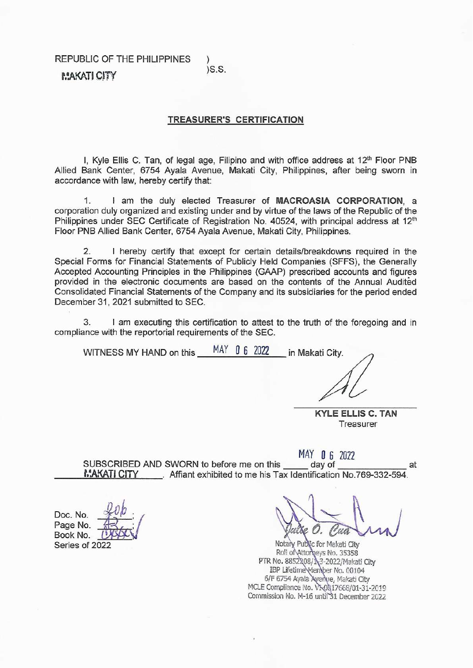REPUBLIC OF THE PHILIPPINES

## $)S.S.$

**MAKATI CITY** 

## **TREASURER'S CERTIFICATION**

I, Kyle Ellis C. Tan, of legal age, Filipino and with office address at 12<sup>th</sup> Floor PNB Allied Bank Center, 6754 Ayala Avenue, Makati City, Philippines, after being sworn in accordance with law, hereby certify that:

I am the duly elected Treasurer of MACROASIA CORPORATION, a 1. corporation duly organized and existing under and by virtue of the laws of the Republic of the Philippines under SEC Certificate of Registration No. 40524, with principal address at 12<sup>th</sup> Floor PNB Allied Bank Center, 6754 Ayala Avenue, Makati City, Philippines.

I hereby certify that except for certain details/breakdowns required in the  $\overline{2}$ Special Forms for Financial Statements of Publicly Held Companies (SFFS), the Generally Accepted Accounting Principles in the Philippines (GAAP) prescribed accounts and figures provided in the electronic documents are based on the contents of the Annual Audited Consolidated Financial Statements of the Company and its subsidiaries for the period ended December 31, 2021 submitted to SEC.

I am executing this certification to attest to the truth of the foregoing and in 3. compliance with the reportorial requirements of the SEC.

| MAY |  | in Makati City. |  |
|-----|--|-----------------|--|
|     |  |                 |  |
|     |  | 062022          |  |

**KYLE ELLIS C. TAN** Treasurer

MAY 0 6 2022 SUBSCRIBED AND SWORN to before me on this day of at MAKATI CITY Affiant exhibited to me his Tax Identification No.769-332-594.

Notary Public for Makati City Roll of Attorneys No. 35358 PTR No. 8852208/13-2022/Makati City<br>IBP Lifetime Member No. 00104<br>6/F 6754 Ayala Avenue, Makati City MCLE Compliance No. VN0017668/01-31-2019 Commission No. M-16 until 31 December 2022

Doc. No. Page No. Book No. Series of 2022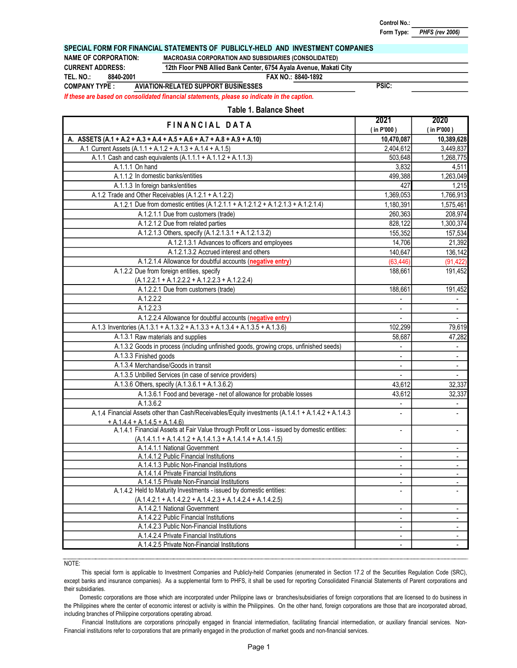Control No.:

PHFS (rev 2006) Form Type:

#### SPECIAL FORM FOR FINANCIAL STATEMENTS OF PUBLICLY-HELD AND INVESTMENT COMPANIES

CURRENT ADDRESS:

8840-2001

TEL. NO.:

# NAME OF CORPORATION: MACROASIA CORPORATION AND SUBSIDIARIES (CONSOLIDATED)

12th Floor PNB Allied Bank Center, 6754 Ayala Avenue, Makati City

FAX NO.: 8840-1892

COMPANY TYPE : AVIATION-RELATED SUPPORT BUSINESSES

PSIC:

If these are based on consolidated financial statements, please so indicate in the caption.

## Table 1. Balance Sheet

| FINANCIAL DATA                                                                                                                                                | 2021                     | 2020                      |
|---------------------------------------------------------------------------------------------------------------------------------------------------------------|--------------------------|---------------------------|
|                                                                                                                                                               | $($ in P'000)            | (in P'000)                |
| A. ASSETS $(A.1 + A.2 + A.3 + A.4 + A.5 + A.6 + A.7 + A.8 + A.9 + A.10)$                                                                                      | 10,470,087               | 10,389,628                |
| A.1 Current Assets (A.1.1 + A.1.2 + A.1.3 + A.1.4 + A.1.5)                                                                                                    | 2,404,612                | 3,449,837                 |
| A.1.1 Cash and cash equivalents $(A.1.1.1 + A.1.1.2 + A.1.1.3)$                                                                                               | 503,648                  | 1,268,775                 |
| A.1.1.1 On hand                                                                                                                                               | 3,832                    | 4,511                     |
| A.1.1.2 In domestic banks/entities                                                                                                                            | 499,388                  | 1,263,049                 |
| A.1.1.3 In foreign banks/entities                                                                                                                             | 427                      | 1,215                     |
| A.1.2 Trade and Other Receivables (A.1.2.1 + A.1.2.2)                                                                                                         | 1,369,053                | 1,766,913                 |
| A.1.2.1 Due from domestic entities (A.1.2.1.1 + A.1.2.1.2 + A.1.2.1.3 + A.1.2.1.4)                                                                            | 1,180,391                | 1,575,461                 |
| A.1.2.1.1 Due from customers (trade)                                                                                                                          | 260,363                  | 208,974                   |
| A.1.2.1.2 Due from related parties                                                                                                                            | 828,122                  | 1,300,374                 |
| A.1.2.1.3 Others, specify (A.1.2.1.3.1 + A.1.2.1.3.2)                                                                                                         | 155,352                  | 157,534                   |
| A.1.2.1.3.1 Advances to officers and employees                                                                                                                | 14,706                   | 21,392                    |
| A.1.2.1.3.2 Accrued interest and others                                                                                                                       | 140,647                  | $\overline{136, 142}$     |
| A.1.2.1.4 Allowance for doubtful accounts (negative entry)                                                                                                    | (63, 446)                | (91, 422)                 |
| A.1.2.2 Due from foreign entities, specify                                                                                                                    | 188,661                  | 191,452                   |
| $(A.1.2.2.1 + A.1.2.2.2 + A.1.2.2.3 + A.1.2.2.4)$                                                                                                             |                          |                           |
| A.1.2.2.1 Due from customers (trade)                                                                                                                          | 188,661                  | 191,452                   |
| A.1.2.2.2                                                                                                                                                     | $\blacksquare$           | $\bullet$                 |
| A.1.2.2.3                                                                                                                                                     | $\blacksquare$           | $\sim$                    |
| A.1.2.2.4 Allowance for doubtful accounts (negative entry)                                                                                                    | $\mathbb{L}$             | $\mathbb{L}^+$            |
| A.1.3 Inventories (A.1.3.1 + A.1.3.2 + A.1.3.3 + A.1.3.4 + A.1.3.5 + A.1.3.6)                                                                                 | 102,299                  | 79,619                    |
| A.1.3.1 Raw materials and supplies                                                                                                                            | 58,687                   | 47,282                    |
| A.1.3.2 Goods in process (including unfinished goods, growing crops, unfinished seeds)                                                                        | $\overline{\phantom{0}}$ | $\blacksquare$            |
| A.1.3.3 Finished goods                                                                                                                                        | $\overline{\phantom{a}}$ | $\omega$                  |
| A.1.3.4 Merchandise/Goods in transit                                                                                                                          | $\overline{\phantom{a}}$ | $\sim$                    |
| A.1.3.5 Unbilled Services (in case of service providers)                                                                                                      | L.                       | $\mathbb{Z}^{\mathbb{Z}}$ |
| A.1.3.6 Others, specify (A.1.3.6.1 + A.1.3.6.2)                                                                                                               | 43,612                   | 32,337                    |
| A.1.3.6.1 Food and beverage - net of allowance for probable losses                                                                                            | 43,612                   | 32,337                    |
| A.1.3.6.2                                                                                                                                                     | $\blacksquare$           | $\sim$                    |
| A.1.4 Financial Assets other than Cash/Receivables/Equity investments (A.1.4.1 + A.1.4.2 + A.1.4.3                                                            |                          | $\mathbf{r}$              |
| $+A.1.4.4 + A.1.4.5 + A.1.4.6$                                                                                                                                |                          |                           |
| A.1.4.1 Financial Assets at Fair Value through Profit or Loss - issued by domestic entities:<br>$(A.1.4.1.1 + A.1.4.1.2 + A.1.4.1.3 + A.1.4.1.4 + A.1.4.1.5)$ | $\overline{\phantom{a}}$ | ä,                        |
| A.1.4.1.1 National Government                                                                                                                                 | $\overline{a}$           |                           |
| A.1.4.1.2 Public Financial Institutions                                                                                                                       | ÷.                       | $\blacksquare$            |
| A.1.4.1.3 Public Non-Financial Institutions                                                                                                                   | $\mathbf{r}$             | $\blacksquare$            |
| A.1.4.1.4 Private Financial Institutions                                                                                                                      | $\blacksquare$           | $\sim$                    |
| A.1.4.1.5 Private Non-Financial Institutions                                                                                                                  | $\overline{a}$           | $\blacksquare$            |
| A.1.4.2 Held to Maturity Investments - issued by domestic entities:                                                                                           | ÷,                       |                           |
| $(A.1.4.2.1 + A.1.4.2.2 + A.1.4.2.3 + A.1.4.2.4 + A.1.4.2.5)$                                                                                                 |                          |                           |
| A.1.4.2.1 National Government                                                                                                                                 | $\blacksquare$           | $\mathbf{r}$              |
| A.1.4.2.2 Public Financial Institutions                                                                                                                       | $\blacksquare$           | $\sim$                    |
| A.1.4.2.3 Public Non-Financial Institutions                                                                                                                   | $\blacksquare$           | $\blacksquare$            |
| A.1.4.2.4 Private Financial Institutions                                                                                                                      | $\overline{a}$           | $\blacksquare$            |
| A.1.4.2.5 Private Non-Financial Institutions                                                                                                                  |                          |                           |

NOTE:

Domestic corporations are those which are incorporated under Philippine laws or branches/subsidiaries of foreign corporations that are licensed to do business in the Philippines where the center of economic interest or activity is within the Philippines. On the other hand, foreign corporations are those that are incorporated abroad, including branches of Philippine corporations operating abroad.

Financial Institutions are corporations principally engaged in financial intermediation, facilitating financial intermediation, or auxiliary financial services. Non-Financial institutions refer to corporations that are primarily engaged in the production of market goods and non-financial services.

This special form is applicable to Investment Companies and Publicly-held Companies (enumerated in Section 17.2 of the Securities Regulation Code (SRC), except banks and insurance companies). As a supplemental form to PHFS, it shall be used for reporting Consolidated Financial Statements of Parent corporations and their subsidiaries.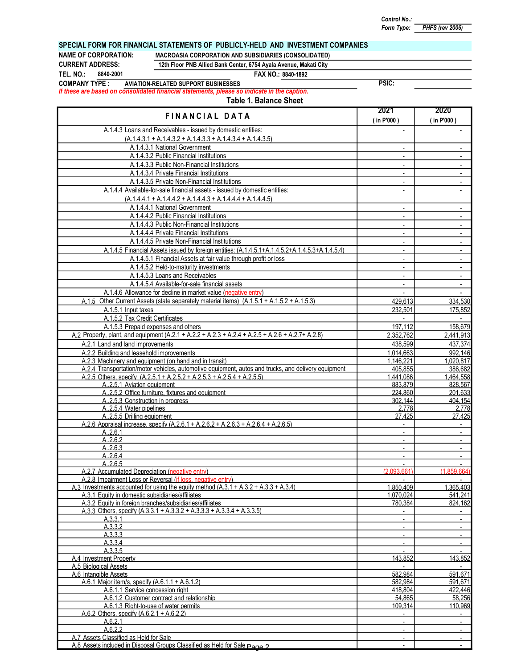Control No.:

PSIC:

Form Type: PHFS (rev 2006)

#### SPECIAL FORM FOR FINANCIAL STATEMENTS OF PUBLICLY-HELD AND INVESTMENT COMPANIES

CURRENT ADDRESS:

TEL. NO.:

8840-2001

#### NAME OF CORPORATION: MACROASIA CORPORATION AND SUBSIDIARIES (CONSOLIDATED) 12th Floor PNB Allied Bank Center, 6754 Ayala Avenue, Makati City

#### FAX NO.: 8840-1892

If these are based on consolidated financial statements, please so indicate in the caption. COMPANY TYPE : AVIATION-RELATED SUPPORT BUSINESSES

| FINANCIAL DATA                                                                                                   | 2021<br>$($ in P'000)       | 2020<br>(in P'000) |
|------------------------------------------------------------------------------------------------------------------|-----------------------------|--------------------|
| A.1.4.3 Loans and Receivables - issued by domestic entities:                                                     |                             |                    |
| $(A.1.4.3.1 + A.1.4.3.2 + A.1.4.3.3 + A.1.4.3.4 + A.1.4.3.5)$                                                    |                             |                    |
| A.1.4.3.1 National Government                                                                                    |                             |                    |
| A.1.4.3.2 Public Financial Institutions                                                                          |                             |                    |
| A.1.4.3.3 Public Non-Financial Institutions                                                                      | $\sim$                      | $\sim$             |
| A.1.4.3.4 Private Financial Institutions                                                                         |                             |                    |
| A.1.4.3.5 Private Non-Financial Institutions                                                                     | $\blacksquare$              | $\blacksquare$     |
| A.1.4.4 Available-for-sale financial assets - issued by domestic entities:                                       |                             |                    |
| $(A.1.4.4.1 + A.1.4.4.2 + A.1.4.4.3 + A.1.4.4.4 + A.1.4.4.5)$                                                    |                             |                    |
| A.1.4.4.1 National Government                                                                                    |                             |                    |
| A.1.4.4.2 Public Financial Institutions                                                                          | $\blacksquare$              | $\sim$             |
| A.1.4.4.3 Public Non-Financial Institutions                                                                      | $\blacksquare$              | $\blacksquare$     |
| A.1.4.4.4 Private Financial Institutions                                                                         |                             | $\blacksquare$     |
| A.1.4.4.5 Private Non-Financial Institutions                                                                     | $\sim$                      | $\sim$             |
| A.1.4.5 Financial Assets issued by foreign entities: (A.1.4.5.1+A.1.4.5.2+A.1.4.5.3+A.1.4.5.4)                   |                             |                    |
|                                                                                                                  | $\blacksquare$              | $\blacksquare$     |
| A.1.4.5.1 Financial Assets at fair value through profit or loss                                                  | $\sim$                      | $\blacksquare$     |
| A.1.4.5.2 Held-to-maturity investments                                                                           | $\sim$                      | $\sim$             |
| A.1.4.5.3 Loans and Receivables                                                                                  | $\blacksquare$              | $\sim$             |
| A.1.4.5.4 Available-for-sale financial assets                                                                    |                             | $\sim$             |
| A.1.4.6 Allowance for decline in market value (negative entry)                                                   | ÷.                          | $\mathbf{r}$       |
| A.1.5 Other Current Assets (state separately material items) (A.1.5.1 + A.1.5.2 + A.1.5.3)                       | 429,613                     | 334,530            |
| A.1.5.1 Input taxes                                                                                              | 232,501                     | 175,852            |
| A.1.5.2 Tax Credit Certificates                                                                                  |                             |                    |
| A.1.5.3 Prepaid expenses and others                                                                              | 197,112                     | 158,679            |
| A.2 Property, plant, and equipment (A.2.1 + A.2.2 + A.2.3 + A.2.4 + A.2.5 + A.2.6 + A.2.7 + A.2.8)               | 2,352,762                   | 2,441,913          |
| A.2.1 Land and land improvements                                                                                 | 438,599                     | 437,374            |
| A.2.2 Building and leasehold improvements                                                                        | 1.014.663                   | 992.146            |
| A.2.3 Machinery and equipment (on hand and in transit)                                                           | 1.146.221                   | 1.020.817          |
| A.2.4 Transportation/motor vehicles, automotive equipment, autos and trucks, and delivery equipment              | 405.855                     | 386.682            |
| A.2.5 Others. specify (A.2.5.1 + A.2.5.2 + A.2.5.3 + A.2.5.4 + A.2.5.5)                                          | 1.441.086                   | 1.464.558          |
| A2.5.1 Aviation equipment                                                                                        | 883.879                     | 828.567            |
| A2.5.2 Office furniture. fixtures and equipment                                                                  | 224.860                     | 201.633            |
| A2.5.3 Construction in progress                                                                                  | 302.144                     | 404.154            |
| A2.5.4 Water pipelines                                                                                           | 2.778<br>27.425             | 2.778              |
| A2.5.5 Drilling equipment<br>A.2.6 Appraisal increase, specify (A.2.6.1 + A.2.6.2 + A.2.6.3 + A.2.6.4 + A.2.6.5) | $\sim$                      | 27,425<br>$\sim$   |
| A.2.6.1                                                                                                          |                             | $\blacksquare$     |
| A.2.6.2                                                                                                          |                             |                    |
| A.2.6.3                                                                                                          | $\sim$                      | $\blacksquare$     |
| A.2.6.4                                                                                                          | $\overline{\phantom{a}}$    | $\blacksquare$     |
| A.2.6.5                                                                                                          | $\blacksquare$              | $\sim$             |
| A.2.7 Accumulated Depreciation (negative entry)                                                                  | (2.093.661)                 | (1.859.664)        |
| A.2.8 Impairment Loss or Reversal (if loss, negative entry)                                                      | $\sim$                      |                    |
| A.3 Investments accounted for using the equity method $(A.3.1 + A.3.2 + A.3.3 + A.3.4)$                          | 1,850,409                   | 1,365,403          |
| A.3.1 Equity in domestic subsidiaries/affiliates                                                                 | 1.070.024                   | 541.241            |
| A.3.2 Equity in foreign branches/subsidiaries/affiliates                                                         | 780.384                     | 824,162            |
| A.3.3 Others, specify $(A.3.3.1 + A.3.3.2 + A.3.3.3 + A.3.3.4 + A.3.3.5)$                                        |                             |                    |
| A.3.3.1                                                                                                          | $\blacksquare$              | $\blacksquare$     |
| A.3.3.2                                                                                                          |                             | $\sim$             |
| A.3.3.3                                                                                                          | $\blacksquare$              | $\sim$             |
| A.3.3.4                                                                                                          |                             |                    |
| A.3.3.5                                                                                                          | $\mathcal{L}_{\mathcal{A}}$ | $\sim$             |
| A.4 Investment Property                                                                                          | 143.852                     | 143.852            |
| A.5 Biological Assets                                                                                            |                             |                    |
| A.6 Intangible Assets<br>A.6.1 Maior item/s. specify (A.6.1.1 + A.6.1.2)                                         | 582.984<br>582.984          | 591.671<br>591.671 |
| A.6.1.1 Service concession right                                                                                 | 418.804                     | 422.446            |
| A.6.1.2 Customer contract and relationship                                                                       | 54.865                      | 58.256             |
| A.6.1.3 Right-to-use of water permits                                                                            | 109.314                     | 110.969            |
| A.6.2 Others, specify $(A.6.2.1 + A.6.2.2)$                                                                      |                             |                    |
| A.6.2.1                                                                                                          | $\sim$                      | $\sim$             |
| A.6.2.2                                                                                                          | $\blacksquare$              | $\sim$             |
| A.7 Assets Classified as Held for Sale                                                                           |                             |                    |
| A.8 Assets included in Disposal Groups Classified as Held for Sale Page 2                                        |                             |                    |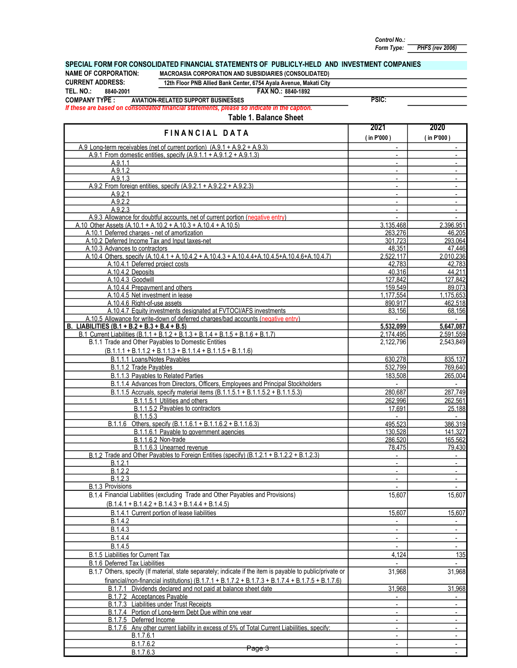Form Type: PHFS (rev 2006) Control No.:

#### SPECIAL FORM FOR CONSOLIDATED FINANCIAL STATEMENTS OF PUBLICLY-HELD AND INVESTMENT COMPANIES

NAME OF CORPORATION: MACROASIA CORPORATION AND SUBSIDIARIES (CONSOLIDATED)

CURRENT ADDRESS: 8840-2001

# 12th Floor PNB Allied Bank Center, 6754 Ayala Avenue, Makati City

FAX NO.: TEL. NO.: 8840-1892

COMPANY TYPE : AVIATION-RELATED SUPPORT BUSINESSES

PSIC:

If these are based on consolidated financial statements, please so indicate in the caption.

|                                                                                                                       | 2021                                                 | 2020                                       |
|-----------------------------------------------------------------------------------------------------------------------|------------------------------------------------------|--------------------------------------------|
| FINANCIAL DATA                                                                                                        | (in P'000)                                           | (in P'000)                                 |
| A.9 Long-term receivables (net of current portion) $(A.9.1 + A.9.2 + A.9.3)$                                          | $\blacksquare$                                       | $\sim$                                     |
| A.9.1 From domestic entities, specify $(A.9.1.1 + A.9.1.2 + A.9.1.3)$                                                 | $\blacksquare$                                       | $\blacksquare$                             |
| A.9.1.1                                                                                                               | $\blacksquare$                                       | $\sim$                                     |
| A.9.1.2                                                                                                               | $\overline{\phantom{a}}$                             | $\overline{\phantom{a}}$                   |
| A.9.1.3                                                                                                               | $\mathbf{r}$                                         |                                            |
| A.9.2 From foreign entities, specify $(A.9.2.1 + A.9.2.2 + A.9.2.3)$                                                  | $\blacksquare$                                       |                                            |
| A.9.2.1                                                                                                               | $\overline{\phantom{a}}$                             |                                            |
| A.9.2.2                                                                                                               | $\blacksquare$                                       | $\blacksquare$                             |
| A.9.2.3                                                                                                               | $\overline{\phantom{a}}$                             | $\overline{\phantom{a}}$                   |
| A.9.3 Allowance for doubtful accounts, net of current portion (negative entry)                                        | $\blacksquare$                                       | $\Delta$                                   |
| A.10 Other Assets (A.10.1 + A.10.2 + A.10.3 + A.10.4 + A.10.5)                                                        | 3.135.468                                            | 2.396.951                                  |
| A.10.1 Deferred charges - net of amortization                                                                         | 263.276                                              | 46.205                                     |
| A.10.2 Deferred Income Tax and Input taxes-net<br>A.10.3 Advances to contractors                                      | 301,723<br>48.351                                    | 293,064<br>47.446                          |
| A.10.4 Others, specify (A.10.4.1 + A.10.4.2 + A.10.4.3 + A.10.4.4+A.10.4.5+A.10.4.6+A.10.4.7)                         | 2.522.117                                            | 2.010.236                                  |
| A.10.4.1 Deferred project costs                                                                                       | 42,783                                               | 42,783                                     |
| A.10.4.2 Deposits                                                                                                     | 40.316                                               | 44.211                                     |
| A.10.4.3 Goodwill                                                                                                     | 127.842                                              | 127.842                                    |
| A.10.4.4 Prepayment and others                                                                                        | 159,549                                              | 89,073                                     |
| A.10.4.5 Net investment in lease                                                                                      | 1,177,554                                            | 1,175,653                                  |
| A.10.4.6 Right-of-use assets                                                                                          | 890,917                                              | 462,518                                    |
| A.10.4.7 Equity investments designated at FVTOCI/AFS investments                                                      | 83,156                                               | 68,156                                     |
| A.10.5 Allowance for write-down of deferred charges/bad accounts (negative entry)                                     |                                                      |                                            |
| B. LIABILITIES (B.1 + B.2 + B.3 + B.4 + B.5)                                                                          | 5,532,099                                            | 5,647,087                                  |
| B.1 Current Liabilities (B.1.1 + B.1.2 + B.1.3 + B.1.4 + B.1.5 + B.1.6 + B.1.7)                                       | 2.174.495                                            | 2.591.559                                  |
| B.1.1 Trade and Other Payables to Domestic Entities                                                                   | 2.122.796                                            | 2,543,849                                  |
| $(B.1.1.1 + B.1.1.2 + B.1.1.3 + B.1.1.4 + B.1.1.5 + B.1.1.6)$                                                         |                                                      |                                            |
| B.1.1.1 Loans/Notes Payables                                                                                          | 630.278                                              | 835.137                                    |
| B.1.1.2 Trade Payables                                                                                                | 532.799                                              | 769,640                                    |
| B.1.1.3 Payables to Related Parties                                                                                   | 183,508                                              | 265,004                                    |
| B.1.1.4 Advances from Directors, Officers, Employees and Principal Stockholders                                       | $\blacksquare$                                       |                                            |
| B.1.1.5 Accruals, specify material items (B.1.1.5.1 + B.1.1.5.2 + B.1.1.5.3)                                          | 280,687                                              | 287,749                                    |
| B.1.1.5.1 Utilities and others                                                                                        | 262.996                                              | 262,561                                    |
| B.1.1.5.2 Payables to contractors<br>B.1.1.5.3                                                                        | 17.691                                               | 25,188                                     |
| <u>B.1.1.6 Others, specify (B.1.1.6.1 + B.1.1.6.2 + B.1.1.6.3)</u>                                                    | 495,523                                              | 386,319                                    |
| B.1.1.6.1 Payable to government agencies                                                                              | 130,528                                              | 141,327                                    |
| B.1.1.6.2 Non-trade                                                                                                   | 286,520                                              | 165,562                                    |
| B.1.1.6.3 Unearned revenue                                                                                            | 78.475                                               | 79,430                                     |
| B.1.2 Trade and Other Payables to Foreign Entities (specify) (B.1.2.1 + B.1.2.2 + B.1.2.3)                            | $\blacksquare$                                       | $\sim$                                     |
| B.1.2.1                                                                                                               | $\blacksquare$                                       | $\sim$                                     |
| B.1.2.2                                                                                                               | $\overline{\phantom{a}}$                             | $\sim$                                     |
| B.1.2.3                                                                                                               | $\overline{\phantom{a}}$                             | $\sim$                                     |
| B.1.3 Provisions                                                                                                      | $\mathbb{Z}^+$                                       | $\sim$                                     |
| B.1.4 Financial Liabilities (excluding Trade and Other Payables and Provisions)                                       | 15,607                                               | 15,607                                     |
| $(B.1.4.1 + B.1.4.2 + B.1.4.3 + B.1.4.4 + B.1.4.5)$                                                                   |                                                      |                                            |
| B.1.4.1 Current portion of lease liabilities                                                                          | 15,607                                               | 15,607                                     |
| B.1.4.2                                                                                                               | $\overline{\phantom{a}}$                             | $\blacksquare$                             |
| B.1.4.3                                                                                                               | $\overline{\phantom{a}}$                             | $\blacksquare$                             |
| B.1.4.4                                                                                                               |                                                      |                                            |
| B.1.4.5                                                                                                               | $\blacksquare$                                       | $\blacksquare$                             |
| B.1.5 Liabilities for Current Tax                                                                                     | 4,124                                                | 135                                        |
| B.1.6 Deferred Tax Liabilities                                                                                        |                                                      |                                            |
| B.1.7 Others, specify (If material, state separately; indicate if the item is payable to public/private or            | 31,968                                               | 31,968                                     |
| financial/non-financial institutions) (B.1.7.1 + B.1.7.2 + B.1.7.3 + B.1.7.4 + B.1.7.5 + B.1.7.6)                     |                                                      |                                            |
| B.1.7.1 Dividends declared and not paid at balance sheet date                                                         | 31.968                                               | 31,968                                     |
| B.1.7.2 Acceptances Payable                                                                                           |                                                      |                                            |
| <b>B.1.7.3</b> Liabilities under Trust Receipts                                                                       |                                                      | $\blacksquare$                             |
| B.1.7.4 Portion of Long-term Debt Due within one year                                                                 | $\overline{\phantom{a}}$                             | $\sim$                                     |
| B.1.7.5 Deferred Income<br>B.1.7.6 Any other current liability in excess of 5% of Total Current Liabilities, specify: | $\overline{\phantom{a}}$                             | $\overline{\phantom{a}}$                   |
| B.1.7.6.1                                                                                                             | $\overline{\phantom{a}}$<br>$\overline{\phantom{a}}$ | $\overline{\phantom{a}}$<br>$\blacksquare$ |
| B.1.7.6.2                                                                                                             |                                                      | $\overline{\phantom{a}}$                   |
| Page 3<br>B.1.7.6.3                                                                                                   | $\overline{\phantom{a}}$                             | $\sim$                                     |
|                                                                                                                       |                                                      |                                            |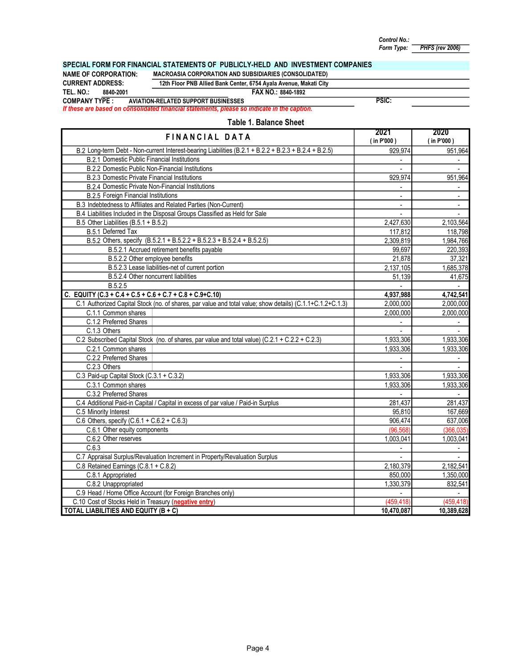**PHFS** (rev 2006) Control No.: Form Type:

# SPECIAL FORM FOR FINANCIAL STATEMENTS OF PUBLICLY-HELD AND INVESTMENT COMPANIES<br>NAME OF CORPORATION: MACROASIA CORPORATION AND SUBSIDIARIES (CONSOLIDATED)

NAME OF CORPORATION: MACROASIA CORPORATION AND SUBSIDIARIES (CONSOLIDATED)<br>CURRENT ADDRESS: 12th Floor PNB Allied Bank Center, 6754 Avala Avenue, Makati City

## 12th Floor PNB Allied Bank Center, 6754 Ayala Avenue, Makati City

TEL. NO.: 8840-2001 8890-1892

If these are based on consolidated financial statements, please so indicate in the caption. COMPANY TYPE : AVIATION-RELATED SUPPORT BUSINESSES

#### PSIC:

| FINANCIAL DATA                                                                                            | 2021<br>(in P'000) | 2020<br>(in P'000) |
|-----------------------------------------------------------------------------------------------------------|--------------------|--------------------|
| B.2 Long-term Debt - Non-current Interest-bearing Liabilities (B.2.1 + B.2.2 + B.2.3 + B.2.4 + B.2.5)     | 929,974            | 951,964            |
| <b>B.2.1 Domestic Public Financial Institutions</b>                                                       | $\blacksquare$     | $\sim$             |
| <b>B.2.2 Domestic Public Non-Financial Institutions</b>                                                   | ÷.                 | ÷.                 |
| B.2.3 Domestic Private Financial Institutions                                                             | 929,974            | 951,964            |
| B.2.4 Domestic Private Non-Financial Institutions                                                         | $\blacksquare$     | $\blacksquare$     |
| <b>B.2.5 Foreign Financial Institutions</b>                                                               |                    |                    |
| B.3 Indebtedness to Affiliates and Related Parties (Non-Current)                                          | $\blacksquare$     | $\blacksquare$     |
| B.4 Liabilities Included in the Disposal Groups Classified as Held for Sale                               |                    |                    |
| B.5 Other Liabilities (B.5.1 + B.5.2)                                                                     | 2,427,630          | 2,103,564          |
| B.5.1 Deferred Tax                                                                                        | 117,812            | 118,798            |
| B.5.2 Others, specify (B.5.2.1 + B.5.2.2 + B.5.2.3 + B.5.2.4 + B.5.2.5)                                   | 2,309,819          | 1,984,766          |
| B.5.2.1 Accrued retirement benefits payable                                                               | 99,697             | 220,393            |
| B.5.2.2 Other employee benefits                                                                           | 21,878             | 37,321             |
| B.5.2.3 Lease liabilities-net of current portion                                                          | 2,137,105          | 1,685,378          |
| B.5.2.4 Other noncurrent liabilities                                                                      | 51,139             | 41,675             |
| B.5.2.5                                                                                                   | $\sim$             | $\mathbf{r}$       |
| C. EQUITY (C.3 + C.4 + C.5 + C.6 + C.7 + C.8 + C.9+C.10)                                                  | 4,937,988          | 4,742,541          |
| C.1 Authorized Capital Stock (no. of shares, par value and total value; show details) (C.1.1+C.1.2+C.1.3) | 2,000,000          | 2,000,000          |
| C.1.1 Common shares                                                                                       | 2,000,000          | 2,000,000          |
| C.1.2 Preferred Shares                                                                                    | $\blacksquare$     | $\sim$             |
| C.1.3 Others                                                                                              |                    |                    |
| C.2 Subscribed Capital Stock (no. of shares, par value and total value) (C.2.1 + C.2.2 + C.2.3)           | 1,933,306          | 1,933,306          |
| C.2.1 Common shares                                                                                       | 1,933,306          | 1,933,306          |
| C.2.2 Preferred Shares                                                                                    | $\mathbf{r}$       | $\sim$             |
| C.2.3 Others                                                                                              | $\overline{a}$     |                    |
| C.3 Paid-up Capital Stock (C.3.1 + C.3.2)                                                                 | 1,933,306          | 1,933,306          |
| C.3.1 Common shares                                                                                       | 1,933,306          | 1,933,306          |
| C.3.2 Preferred Shares                                                                                    |                    |                    |
| C.4 Additional Paid-in Capital / Capital in excess of par value / Paid-in Surplus                         | 281,437            | 281,437            |
| C.5 Minority Interest                                                                                     | 95,810             | 167,669            |
| C.6 Others, specify $(C.6.1 + C.6.2 + C.6.3)$                                                             | 906,474            | 637,006            |
| C.6.1 Other equity components                                                                             | (96, 568)          | (366, 035)         |
| C.6.2 Other reserves                                                                                      | 1,003,041          | 1,003,041          |
| C.6.3                                                                                                     |                    |                    |
| C.7 Appraisal Surplus/Revaluation Increment in Property/Revaluation Surplus                               |                    |                    |
| C.8 Retained Earnings (C.8.1 + C.8.2)                                                                     | 2,180,379          | 2,182,541          |
| C.8.1 Appropriated                                                                                        | 850,000            | 1,350,000          |
| C.8.2 Unappropriated                                                                                      | 1,330,379          | 832,541            |
| C.9 Head / Home Office Account (for Foreign Branches only)                                                | $\blacksquare$     | $\sim$             |
| C.10 Cost of Stocks Held in Treasury (negative entry)                                                     | (459, 418)         | (459, 418)         |
| TOTAL LIABILITIES AND EQUITY (B + C)                                                                      | 10,470,087         | 10,389,628         |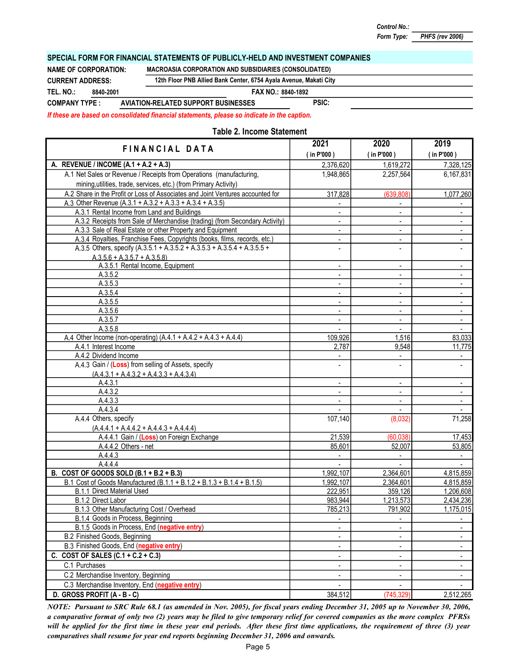PHFS (rev 2006)

#### SPECIAL FORM FOR FINANCIAL STATEMENTS OF PUBLICLY-HELD AND INVESTMENT COMPANIES

NAME OF CORPORATION: MACROASIA CORPORATION AND SUBSIDIARIES (CONSOLIDATED)

FAX NO.: TEL. NO.: 8840-1892 PSIC: CURRENT ADDRESS: 12th Floor PNB Allied Bank Center, 6754 Ayala Avenue, Makati City COMPANY TYPE : AVIATION-RELATED SUPPORT BUSINESSES 8840-2001

If these are based on consolidated financial statements, please so indicate in the caption.

#### Table 2. Income Statement

| <b>FINANCIAL DATA</b>                                                          | 2021                     | 2020                         | 2019                     |  |
|--------------------------------------------------------------------------------|--------------------------|------------------------------|--------------------------|--|
|                                                                                | (in P'000)               | (in P'000)                   | (in P'000)               |  |
| A. REVENUE / INCOME (A.1 + A.2 + A.3)                                          | 2,376,620                | 1,619,272                    | 7,328,125                |  |
| A.1 Net Sales or Revenue / Receipts from Operations (manufacturing,            | 1,948,865                | 2,257,564                    | 6,167,831                |  |
| mining, utilities, trade, services, etc.) (from Primary Activity)              |                          |                              |                          |  |
| A.2 Share in the Profit or Loss of Associates and Joint Ventures accounted for | 317,828                  | (639, 808)                   | 1,077,260                |  |
| A.3 Other Revenue (A.3.1 + A.3.2 + A.3.3 + A.3.4 + A.3.5)                      |                          |                              |                          |  |
| A.3.1 Rental Income from Land and Buildings                                    | $\blacksquare$           | $\overline{\phantom{a}}$     | $\blacksquare$           |  |
| A.3.2 Receipts from Sale of Merchandise (trading) (from Secondary Activity)    |                          | ÷                            |                          |  |
| A.3.3 Sale of Real Estate or other Property and Equipment                      | $\blacksquare$           | $\overline{\phantom{a}}$     |                          |  |
| A.3.4 Royalties, Franchise Fees, Copyrights (books, films, records, etc.)      |                          | $\overline{\phantom{a}}$     |                          |  |
| A.3.5 Others, specify (A.3.5.1 + A.3.5.2 + A.3.5.3 + A.3.5.4 + A.3.5.5 +       |                          | $\overline{\phantom{0}}$     |                          |  |
| $A.3.5.6 + A.3.5.7 + A.3.5.8$                                                  |                          |                              |                          |  |
| A.3.5.1 Rental Income, Equipment                                               | $\overline{\phantom{a}}$ | $\overline{\phantom{a}}$     |                          |  |
| A.3.5.2                                                                        |                          | $\overline{\phantom{a}}$     |                          |  |
| A.3.5.3                                                                        |                          | $\overline{\phantom{a}}$     | $\blacksquare$           |  |
| A.3.5.4                                                                        | $\blacksquare$           | $\blacksquare$               | $\overline{\phantom{a}}$ |  |
| A.3.5.5                                                                        |                          | $\overline{\phantom{0}}$     | $\blacksquare$           |  |
| A.3.5.6                                                                        |                          | $\overline{\phantom{a}}$     | $\blacksquare$           |  |
| A.3.5.7                                                                        |                          | $\blacksquare$               | $\Box$                   |  |
| A.3.5.8                                                                        |                          | $\blacksquare$               | $\blacksquare$           |  |
| A.4 Other Income (non-operating) (A.4.1 + A.4.2 + A.4.3 + A.4.4)               | 109,926                  | 1,516                        | 83,033                   |  |
| A.4.1 Interest Income                                                          | 2,787                    | 9,548                        | 11,775                   |  |
| A.4.2 Dividend Income                                                          |                          |                              |                          |  |
| A.4.3 Gain / (Loss) from selling of Assets, specify                            | $\overline{a}$           | ÷,                           |                          |  |
| $(A.4.3.1 + A.4.3.2 + A.4.3.3 + A.4.3.4)$                                      |                          |                              |                          |  |
| A.4.3.1                                                                        | $\blacksquare$           | $\qquad \qquad \blacksquare$ | $\blacksquare$           |  |
| A.4.3.2                                                                        |                          | $\blacksquare$               |                          |  |
| A.4.3.3                                                                        |                          | $\frac{1}{2}$                | $\blacksquare$           |  |
| A.4.3.4                                                                        |                          | $\blacksquare$               |                          |  |
| A.4.4 Others, specify                                                          | 107,140                  | (8,032)                      | 71,258                   |  |
| $(A.4.4.1 + A.4.4.2 + A.4.4.3 + A.4.4.4)$                                      |                          |                              |                          |  |
| A.4.4.1 Gain / (Loss) on Foreign Exchange                                      | 21,539                   | (60, 038)                    | 17,453                   |  |
| A.4.4.2 Others - net                                                           | 85,601                   | 52,007                       | 53,805                   |  |
| A.4.4.3                                                                        | $\overline{\phantom{a}}$ | $\overline{\phantom{a}}$     | $\sim$                   |  |
| A.4.4.4                                                                        |                          |                              |                          |  |
| B. COST OF GOODS SOLD (B.1 + B.2 + B.3)                                        | 1,992,107                | 2,364,601                    | 4,815,859                |  |
| B.1 Cost of Goods Manufactured (B.1.1 + B.1.2 + B.1.3 + B.1.4 + B.1.5)         | 1,992,107                | 2,364,601                    | 4,815,859                |  |
| <b>B.1.1 Direct Material Used</b>                                              | 222,951                  | 359,126                      | 1,206,608                |  |
| B.1.2 Direct Labor                                                             | 983,944                  | 1,213,573                    | 2,434,236                |  |
| B.1.3 Other Manufacturing Cost / Overhead                                      | 785,213                  | 791,902                      | 1,175,015                |  |
| <b>B.1.4</b> Goods in Process, Beginning                                       |                          |                              | $\overline{\phantom{a}}$ |  |
| B.1.5 Goods in Process, End (negative entry)                                   |                          |                              |                          |  |
| B.2 Finished Goods, Beginning                                                  | $\overline{\phantom{a}}$ | $\overline{\phantom{0}}$     |                          |  |
| B.3 Finished Goods, End (negative entry)                                       | $\blacksquare$           | $\overline{\phantom{a}}$     |                          |  |
| C. COST OF SALES $(C.1 + C.2 + C.3)$                                           | $\overline{\phantom{a}}$ | ۰.                           |                          |  |
| C.1 Purchases                                                                  | $\overline{\phantom{a}}$ | ۰                            | $\blacksquare$           |  |
| C.2 Merchandise Inventory, Beginning                                           | $\overline{\phantom{a}}$ | $\overline{\phantom{0}}$     | $\overline{\phantom{a}}$ |  |
| C.3 Merchandise Inventory, End (negative entry)                                |                          |                              |                          |  |
| D. GROSS PROFIT (A - B - C)                                                    | 384,512                  | (745, 329)                   | 2,512,265                |  |

NOTE: Pursuant to SRC Rule 68.1 (as amended in Nov. 2005), for fiscal years ending December 31, 2005 up to November 30, 2006, a comparative format of only two (2) years may be filed to give temporary relief for covered companies as the more complex PFRSs will be applied for the first time in these year end periods. After these first time applications, the requirement of three (3) year comparatives shall resume for year end reports beginning December 31, 2006 and onwards.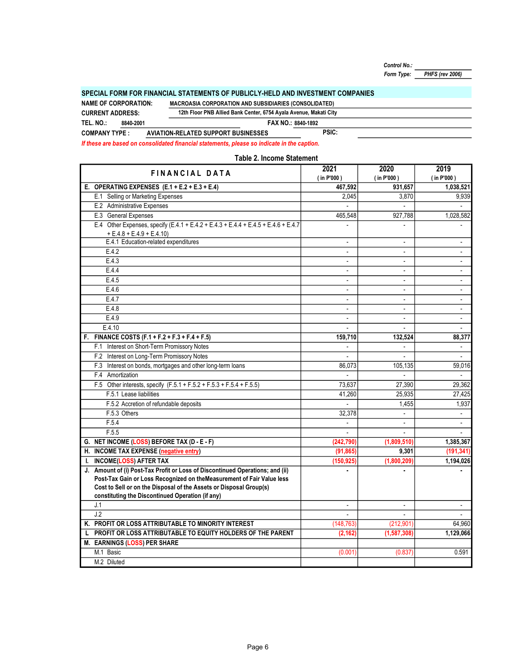PHFS (rev 2006) Control No.: Form Type:

#### SPECIAL FORM FOR FINANCIAL STATEMENTS OF PUBLICLY-HELD AND INVESTMENT COMPANIES

FAX NO.: 8840-1892 PSIC: 12th Floor PNB Allied Bank Center, 6754 Ayala Avenue, Makati City TEL. NO.: COMPANY TYPE : AVIATION-RELATED SUPPORT BUSINESSES CURRENT ADDRESS: 8840-2001 NAME OF CORPORATION: MACROASIA CORPORATION AND SUBSIDIARIES (CONSOLIDATED)

If these are based on consolidated financial statements, please so indicate in the caption.

2021 2020 2019 ( in P'000 ) ( in P'000 ) ( in P'000 ) E. 467,592 931,657 1,038,521 OPERATING EXPENSES (E.1 + E.2 + E.3 + E.4) E.1 Selling or Marketing Expenses 2,045 3,870 9,939 E.2 Administrative Expenses - - - E.3 General Expenses 1,028,582 1,028,582 E.4 Other Expenses, specify (E.4.1 + E.4.2 + E.4.3 + E.4.4 + E.4.5 + E.4.6 + E.4.7 | The Contract of Contract of Contract of Contract of Contract of Contract of Contract of Contract of Contract of Contract of Contract of C E.4.1 Education-related expenditures **E.4.1** - For a state of the state of the state of the state of the state of the state of the state of the state of the state of the state of the state of the state of the state of the E.4.2 - - - **E.4.3 E.4.3 E.4.3** E.4.4 - - - E.4.5 - - - E.4.6 - - - E.4.7 - - -  $E.4.8$  $E.4.9$  $E.4.10$ F. FINANCE COSTS (F.1 + F.2 + F.3 + F.4 + F.5) 159,710 159,710 132,524 88,377 F.1 Interest on Short-Term Promissory Notes **And Account Contact Contact Contact Contact Contact Contact Contact Contact Contact Contact Contact Contact Contact Contact Contact Contact Contact Contact Contact Contact Conta** F.2 Interest on Long-Term Promissory Notes **Contract Contract Contract Contract Contract Contract Contract Contract Contract Contract Contract Contract Contract Contract Contract Contract Contract Contract Contract Contrac** F.3 Interest on bonds, mortgages and other long-term loans 686,073 https://www.fragages.com/interest on bonds, mortgages and other long-term loans F.4 - - - Amortization F.5 Other interests, specify (F.5.1 + F.5.2 + F.5.3 + F.5.4 + F.5.5) 73,637 27,390 29,362 F.5.1 Lease liabilities 27,425 F.5.2 Accretion of refundable deposits and the set of the set of the set of the set of the set of the set of the set of the set of the set of the set of the set of the set of the set of the set of the set of the set of the **F.5.3 Others a** contract the contract of the contract of the contract of the contract of the contract of the contract of the contract of the contract of the contract of the contract of the contract of the contract of t  $F.5.4$ F.5.5 - - - G. NET INCOME (LOSS) BEFORE TAX (D - E - F) (242,790) (1,809,510) (1,809,510) (1,385,367 H. INCOME TAX EXPENSE (negative entry) (91,865) 9,301 9,301 (191,341) I. INCOME(LOSS) AFTER TAX (150,925) (1,800,209) 1,194,026 J. Amount of (i) Post-Tax Profit or Loss of Discontinued Operations; and (ii) **Amount of the Continued Operations** J.1 - - -  $J.2$ K. PROFIT OR LOSS ATTRIBUTABLE TO MINORITY INTEREST (148,763) (212,901) (212,901) 64,960 L PROFIT OR LOSS ATTRIBUTABLE TO EQUITY HOLDERS OF THE PARENT  $(2,162)$   $(1,587,308)$   $(1,587,308)$   $(1,129,066)$ M. EARNINGS (LOSS) PER SHARE M.1 Basic (0.001) (0.837) 0.591 M.2 Diluted M.1 Basic F.5.3 Others Post-Tax Gain or Loss Recognized on theMeasurement of Fair Value less Cost to Sell or on the Disposal of the Assets or Disposal Group(s) constituting the Discontinued Operation (if any) Table 2. Income Statement FINANCIAL DATA + E.4.8 + E.4.9 + E.4.10)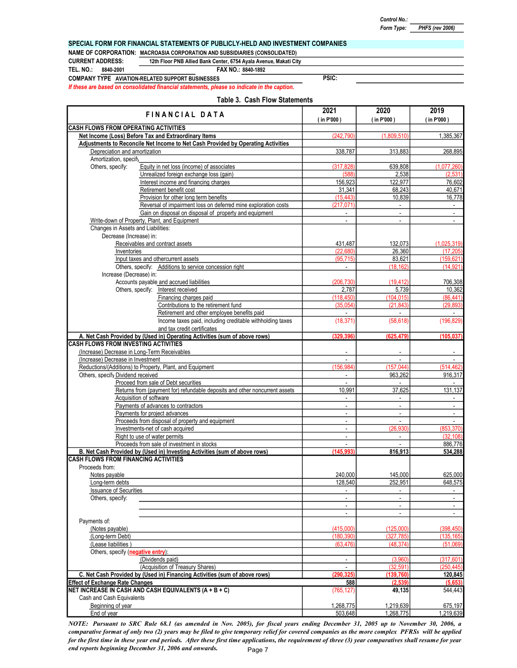#### SPECIAL FORM FOR FINANCIAL STATEMENTS OF PUBLICLY-HELD AND INVESTMENT COMPANIES

NAME OF CORPORATION: MACROASIA CORPORATION AND SUBSIDIARIES (CONSOLIDATED)

CURRENT ADDRESS: 12th Floor PNB Allied Bank Center, 6754 Ayala Avenue, Makati City

TEL. NO.: 8840-2001

FAX NO.: 8840-1892

COMPANY TYPE AVIATION-RELATED SUPPORT BUSINESSES

If these are based on consolidated financial statements, please so indicate in the caption.

|  |  |  | Table 3. Cash Flow Statements |
|--|--|--|-------------------------------|
|--|--|--|-------------------------------|

PSIC:

| FINANCIAL DATA                                                                                                           | 2021                                  | 2020                             | 2019                     |  |
|--------------------------------------------------------------------------------------------------------------------------|---------------------------------------|----------------------------------|--------------------------|--|
| <b>CASH FLOWS FROM OPERATING ACTIVITIES</b>                                                                              | $($ in P'000)                         | (in P'000)                       | (in P'000)               |  |
| Net Income (Loss) Before Tax and Extraordinary Items                                                                     | (242.790)                             | (1,809,510)                      | 1,385,367                |  |
| Adjustments to Reconcile Net Income to Net Cash Provided by Operating Activities                                         |                                       |                                  |                          |  |
| Depreciation and amortization                                                                                            | 338,787                               | 313,883                          | 268,895                  |  |
| Amortization, specify                                                                                                    |                                       |                                  |                          |  |
| Equity in net loss (income) of associates<br>Others, specify:<br>Unrealized foreign exchange loss (gain)                 | (317, 828)                            | 639,808                          | (1,077,260)<br>(2,531)   |  |
| Interest income and financing charges                                                                                    | (588)<br>156,923                      | 2,538<br>122,977                 | 76,602                   |  |
| Retirement benefit cost                                                                                                  | 31,341                                | 68,243                           | 40,671                   |  |
| Provision for other long term benefits                                                                                   | (15, 443)                             | 10,839                           | 16,778                   |  |
| Reversal of impairment loss on deferred mine exploration costs                                                           | (217, 071)                            |                                  |                          |  |
| Gain on disposal on disposal of property and equipment                                                                   |                                       | ÷,                               | $\mathbb{Z}$             |  |
| Write-down of Property, Plant, and Equipment                                                                             | ÷.                                    | $\blacksquare$                   | $\blacksquare$           |  |
| Changes in Assets and Liabilities:<br>Decrease (Increase) in:                                                            |                                       |                                  |                          |  |
| Receivables and contract assets                                                                                          | 431,487                               | 132,073                          | (1,025,319)              |  |
| Inventories                                                                                                              | (22,680)                              | 26,360                           | (17, 205)                |  |
| Input taxes and othercurrent assets                                                                                      | (95, 715)                             | 83,621                           | (159, 621)               |  |
| Others, specify: Additions to service concession right                                                                   | $\blacksquare$                        | (18, 162)                        | (14.921)                 |  |
| Increase (Decrease) in:                                                                                                  |                                       |                                  |                          |  |
| Accounts payable and accrued liabilities                                                                                 | (206, 730)<br>2,787                   | (19, 412)                        | 706,308                  |  |
| Others, specify: Interest received<br>Financing charges paid                                                             | (118, 450)                            | 5,739<br>(104, 015)              | 10,362<br>(86, 441)      |  |
| Contributions to the retirement fund                                                                                     | (35,054)                              | (21.843)                         | (29, 893)                |  |
| Retirement and other employee benefits paid                                                                              | $\mathcal{L}^{\mathcal{L}}$           | $\omega_{\rm c}$                 | $\sim$                   |  |
| Income taxes paid, including creditable withholding taxes                                                                | (18, 371)                             | (58, 618)                        | (196, 829)               |  |
| and tax credit certificates<br>A. Net Cash Provided by (Used in) Operating Activities (sum of above rows)                | (329, 396)                            | (625, 479)                       | (105, 037)               |  |
| <b>CASH FLOWS FROM INVESTING ACTIVITIES</b>                                                                              |                                       |                                  |                          |  |
| (Increase) Decrease in Long-Term Receivables                                                                             |                                       |                                  |                          |  |
| (Increase) Decrease in Investment                                                                                        |                                       |                                  |                          |  |
| Reductions/(Additions) to Property, Plant, and Equipment                                                                 | (156, 984)                            | (157, 044)                       | (514, 462)               |  |
| Others, specify Dividend received                                                                                        | ÷,                                    | 963,262                          | 916,317                  |  |
| Proceed from sale of Debt securities<br>Returns from (payment for) refundable deposits and other noncurrent assets       | ÷,<br>10,991                          | $\blacksquare$<br>37,625         | 131,137                  |  |
| Acquisition of software                                                                                                  | ÷,                                    | $\blacksquare$                   | $\blacksquare$           |  |
| Payments of advances to contractors                                                                                      | $\overline{\phantom{a}}$              | $\sim$                           | $\sim$                   |  |
| Payments for project advances                                                                                            | $\overline{\phantom{a}}$              | $\blacksquare$                   | $\blacksquare$           |  |
| Proceeds from disposal of property and equipment                                                                         | $\blacksquare$                        | $\overline{\phantom{a}}$         | $\overline{\phantom{a}}$ |  |
| Investments-net of cash acquired                                                                                         | $\blacksquare$                        | (26, 930)                        | (853, 370)               |  |
| Right to use of water permits                                                                                            | $\blacksquare$                        | $\overline{\phantom{a}}$         | (32, 108)                |  |
| Proceeds from sale of investment in stocks<br>B. Net Cash Provided by (Used in) Investing Activities (sum of above rows) | $\overline{\phantom{a}}$<br>(145.993) | $\blacksquare$                   | 886.776<br>534,288       |  |
| <b>CASH FLOWS FROM FINANCING ACTIVITIES</b>                                                                              |                                       | 816,913                          |                          |  |
| Proceeds from:                                                                                                           |                                       |                                  |                          |  |
| Notes payable                                                                                                            | 240,000                               | 145,000                          | 625,000                  |  |
| Long-term debts                                                                                                          | 128,540                               | 252,951                          | 648.575                  |  |
| <b>Issuance of Securities</b>                                                                                            | $\overline{\phantom{a}}$              | $\sim$                           | $\sim$                   |  |
| Others, specify:                                                                                                         | $\overline{\phantom{a}}$              | $\sim$                           | $\blacksquare$           |  |
|                                                                                                                          | ÷.<br>$\overline{\phantom{a}}$        | $\blacksquare$<br>$\blacksquare$ | $\blacksquare$<br>÷.     |  |
| Payments of:                                                                                                             |                                       |                                  |                          |  |
| (Notes payable)                                                                                                          | (415,000)                             | (125,000)                        | (398, 450)               |  |
| (Long-term Debt)                                                                                                         | (180, 390)                            | (327, 785)                       | (135, 165)               |  |
| (Lease liabilities)                                                                                                      | (63, 476)                             | (48, 374)                        | (51,069)                 |  |
| Others, specify (negative entry):                                                                                        |                                       |                                  |                          |  |
| (Dividends paid)                                                                                                         | ÷,                                    | (3,960)                          | (317, 601)               |  |
| (Acquisition of Treasury Shares)<br>C. Net Cash Provided by (Used in) Financing Activities (sum of above rows)           | (290, 325)                            | (32, 591)<br>(139, 760)          | (250, 445)<br>120,845    |  |
| <b>Effect of Exchange Rate Changes</b>                                                                                   | 588                                   | (2, 539)                         | (5,653)                  |  |
| NET INCREASE IN CASH AND CASH EQUIVALENTS (A + B + C)                                                                    | (765, 127)                            | 49,135                           | 544,443                  |  |
| Cash and Cash Equivalents                                                                                                |                                       |                                  |                          |  |
| Beginning of year                                                                                                        | 1,268,775                             | 1,219,639                        | 675,197                  |  |
| End of year                                                                                                              | 503,648                               | 1,268,775                        | 1,219,639                |  |

NOTE: Pursuant to SRC Rule 68.1 (as amended in Nov. 2005), for fiscal years ending December 31, 2005 up to November 30, 2006, a comparative format of only two (2) years may be filed to give temporary relief for covered companies as the more complex PFRSs will be applied for the first time in these year end periods. After these first time applications, the requirement of three (3) year comparatives shall resume for year end reports beginning December 31, 2006 and onwards. Page 7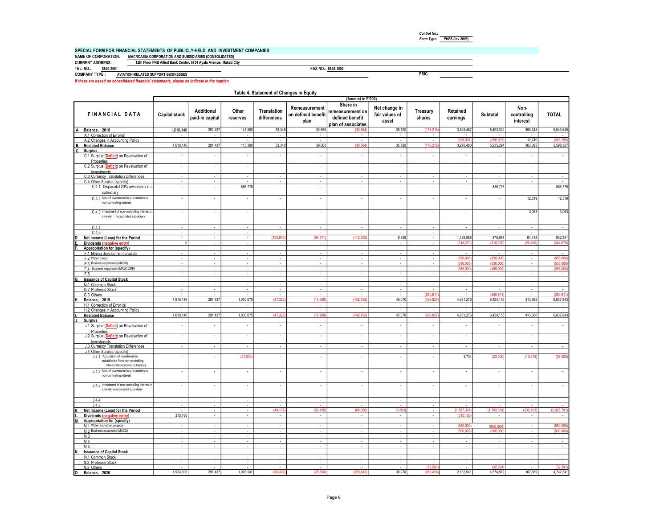| Control No.: |                        |
|--------------|------------------------|
| Form Type:   | <b>PHFS (rev 2006)</b> |

PSIC:

#### SPECIAL FORM FOR FINANCIAL STATEMENTS OF PUBLICLY-HELD AND INVESTMENT COMPANIES

NAME OF CORPORATION: MACROASIA CORPORATION AND SUBSIDIARIES (CONSOLIDATED) CURRENT ADDRESS: 12th Floor PNB Allied Bank Center, 6754 Ayala Avenue, Makati City

FAX NO.: 8840-1892 TEL. NO.: 8840-2001 8840-1892 COMPANY TYPE : AVIATION-RELATED SUPPORT BUSINESSES

If these are based on consolidated financial statements, please so indicate in the caption.

|                                                                                                                                            |                                       |                               |                             | Table 4. Statement of Changes in Equity |                                             |                                                                       |                                          |                             |                          |                          |                                 |                          |
|--------------------------------------------------------------------------------------------------------------------------------------------|---------------------------------------|-------------------------------|-----------------------------|-----------------------------------------|---------------------------------------------|-----------------------------------------------------------------------|------------------------------------------|-----------------------------|--------------------------|--------------------------|---------------------------------|--------------------------|
|                                                                                                                                            |                                       |                               |                             |                                         |                                             | (Amount in P'000)                                                     |                                          |                             |                          |                          |                                 |                          |
| <b>FINANCIAL DATA</b>                                                                                                                      | Capital stock                         | Additional<br>paid-in capital | Other<br>reserves           | Translation<br>differences              | Remeasurement<br>on defined benefit<br>plan | Share in<br>remeasurement on<br>defined benefit<br>plan of associates | Net change in<br>fair values of<br>asset | Treasury<br>shares          | Retained<br>earnings     | Subtotal                 | Non-<br>controlling<br>interest | <b>TOTAL</b>             |
| A.<br>Balance, 2018                                                                                                                        | 1.618.146                             | 281,437                       | 143,300                     | 53.348                                  | 39,663                                      | (30.58                                                                | 35,720                                   | (176.215                    | 3,528,487                | 5.493.302                | 350.343                         | 5,843,645                |
| A.1 Correction of Error(s)                                                                                                                 | $\sim$                                | ×                             | $\sim$                      | $\sim$                                  | $\sim$                                      | $\sim$                                                                | $\sim$                                   | $\sim$                      | $\sim$                   | $\ddot{\phantom{a}}$     |                                 | $\sim$                   |
| A.2 Changes in Accounting Policy                                                                                                           |                                       | $\mathbf{r}$                  | $\sim$                      | $\mathbf{r}$                            | $\blacksquare$                              | $\blacksquare$                                                        | $\blacksquare$                           | $\mathbf{r}$                | (258.00)                 | (258,00)                 | 12,749                          | (245, 25)                |
| <b>B.</b><br><b>Restated Balance</b>                                                                                                       | 1,618,146                             | 281,437                       | 143.300                     | 53.348                                  | 39,663                                      | (30.58)                                                               | 35.720                                   | (176,215                    | 3.270.480                | 5.235.294                | 363.093                         | 5,598,387                |
| C.<br><b>Surplus</b><br>C.1 Surplus (Deficit) on Revaluation of                                                                            | $\overline{\phantom{a}}$              | $\overline{\phantom{a}}$      | $\overline{\phantom{a}}$    | $\overline{\phantom{a}}$                | $\overline{\phantom{a}}$                    | $\overline{\phantom{a}}$                                              | $\overline{\phantom{a}}$                 | $\overline{\phantom{a}}$    | ٠                        |                          |                                 | $\overline{\phantom{a}}$ |
| Properties<br>C.2 Surplus (Deficit) on Revaluation of                                                                                      | $\overline{\phantom{a}}$              | $\overline{\phantom{a}}$      | $\overline{\phantom{a}}$    | $\overline{\phantom{a}}$                | $\overline{\phantom{a}}$                    | $\overline{\phantom{a}}$                                              | $\overline{\phantom{a}}$                 | $\overline{\phantom{a}}$    | $\sim$                   | $\overline{\phantom{a}}$ | $\overline{\phantom{a}}$        | $\overline{\phantom{a}}$ |
| Investments<br>C.3 Currency Translation Differences                                                                                        | $\overline{\phantom{a}}$              | $\epsilon$                    | ÷.                          | $\sim$                                  | ÷                                           | $\epsilon$                                                            | ÷                                        | $\overline{\phantom{a}}$    | ÷.                       |                          | ÷,                              | $\sim$                   |
| C.4 Other Surplus (specify)                                                                                                                | ÷                                     | $\overline{\phantom{a}}$      |                             | $\overline{\phantom{a}}$                | ÷                                           | $\sim$                                                                | $\mathcal{L}_{\mathcal{A}}$              | $\overline{\phantom{a}}$    | $\sim$                   |                          | ×,                              |                          |
| C.4.1 Disposalof 20% ownership in a<br>subsidiary                                                                                          | $\overline{\phantom{a}}$              | ×                             | 886,776                     | ÷,                                      | $\sim$                                      | $\epsilon$                                                            | ÷                                        | ÷,                          | ×                        | 886,776                  | ×,                              | 886,776                  |
| C.4.2 Sale of investment in subsidiaries to<br>non-controlling interest                                                                    | $\overline{\phantom{a}}$              | ×.                            | $\sim$                      | ÷,                                      | $\sim$                                      | $\overline{\phantom{a}}$                                              | $\sim$                                   | ÷,                          | à.                       | $\sim$                   | 12,519                          | 12,519                   |
| C.4.3 Investment of non-controlling interest in<br>a newly incorporated subsidiary                                                         | $\overline{\phantom{a}}$              | $\sim$                        | $\sim$                      | $\cdot$                                 | $\sim$                                      | $\overline{\phantom{a}}$                                              | $\sim$                                   | $\sim$                      | $\sim$                   | $\overline{\phantom{a}}$ | 3.063                           | 3,063                    |
| C.4.4                                                                                                                                      | $\overline{\phantom{a}}$              | $\sim$                        | $\sim$                      | $\sim$                                  | $\cdot$                                     | $\sim$                                                                | $\sim$                                   | $\sim$                      | $\sim$                   | $\sim$                   | $\overline{\phantom{a}}$        | $\sim$                   |
| C.4.5                                                                                                                                      | $\overline{\phantom{a}}$              | $\sim$                        | $\overline{\phantom{a}}$    | $\sim$                                  | $\sim$                                      | $\overline{\phantom{a}}$                                              | $\sim$                                   | $\sim$                      | $\sim$                   | $\sim$                   | $\overline{\phantom{a}}$        | $\sim$                   |
| Net Income (Loss) for the Period                                                                                                           | $\overline{\phantom{a}}$              | $\sim$                        | $\sim$                      | (100, 67)                               | (54, 57)                                    | (112, 20)                                                             | 9,350                                    | $\sim$                      | 1,129,066                | 870,967                  | 61,414                          | 932,381                  |
| Dividends (negative entry)                                                                                                                 | $\mathbf{0}$                          | ÷.                            | $\sim$                      | $\sim$                                  | $\sim$                                      | $\epsilon$                                                            | $\sim$                                   | $\sim$                      | (318, 27)                | (318,2)                  | [26, 40]                        | (344.67)                 |
| Appropriation for (specify)                                                                                                                |                                       |                               |                             |                                         |                                             |                                                                       |                                          |                             |                          |                          |                                 |                          |
| F.1 Mining development projects                                                                                                            | $\omega$                              | $\sim$                        | $\sim$                      | $\sim$                                  | $\epsilon$                                  | à.                                                                    | $\sim$                                   | $\sim$                      | $\sim$                   |                          | $\overline{\phantom{a}}$        | $\sim$                   |
| F.2 Water project                                                                                                                          | ۰                                     | $\overline{\phantom{a}}$      | $\sim$                      | $\cdot$                                 | $\overline{\phantom{a}}$                    | $\overline{\phantom{a}}$                                              | ٠                                        | $\sim$                      | (850,00)                 | (850)                    | $\overline{\phantom{a}}$        | (850, 00)                |
| F.3 Business expansion (MACS)                                                                                                              | $\omega$                              | $\sim$                        | $\sim$                      | $\sim$                                  | $\sim$                                      | ÷.                                                                    | $\sim$                                   | $\sim$                      | (530,000)                | (530.0)                  | ×                               | (530,00)                 |
| F.4 Business expansion (MASCORP)                                                                                                           | ä,                                    | $\overline{\phantom{a}}$      |                             | $\overline{\phantom{a}}$                | $\cdot$                                     | $\blacksquare$                                                        |                                          | $\overline{\phantom{a}}$    | (265,00)                 | (265,0)                  | $\overline{\phantom{a}}$        | (265, 00)                |
| F.5                                                                                                                                        | $\overline{\phantom{a}}$              | $\sim$                        | $\sim$                      | $\sim$                                  | $\sim$                                      | $\sim$                                                                | $\sim$                                   | $\sim$                      | $\sim$                   | $\sim$                   | $\overline{\phantom{a}}$        | $\overline{\phantom{a}}$ |
| <b>Issuance of Capital Stock</b>                                                                                                           |                                       |                               |                             |                                         |                                             |                                                                       |                                          |                             |                          |                          |                                 |                          |
| G.1 Common Stock                                                                                                                           | $\overline{\phantom{a}}$              | ٠                             | $\sim$                      | $\overline{\phantom{a}}$                | $\overline{\phantom{a}}$                    | $\overline{\phantom{a}}$                                              | $\overline{\phantom{a}}$                 | $\overline{\phantom{a}}$    | $\sim$                   |                          | $\overline{\phantom{a}}$        | $\overline{\phantom{a}}$ |
| G.2 Preferred Stock                                                                                                                        | $\overline{\phantom{a}}$              | $\sim$                        | $\sim$                      | $\overline{\phantom{a}}$                | $\sim$                                      | $\sim$                                                                | $\sim$                                   | $\sim$                      | $\sim$                   | $\sim$                   | $\sim$                          | $\sim$                   |
| G.3 Others                                                                                                                                 | $\overline{\phantom{a}}$<br>1,618,146 | 281,437                       | 1,030,075                   | $\overline{\phantom{a}}$<br>(47, 32)    | (14, 90)                                    | $\overline{\phantom{a}}$<br>(142, 79)                                 | 45,070                                   | (250, 611)<br>(426, 82)     | 4,081,276                | (250, 61)<br>6,424,155   | ×,<br>413,688                   | (250, 61)<br>6,837,843   |
| Balance, 2019<br>H.1 Correction of Error (s)                                                                                               |                                       | $\sim$                        | $\sim$                      | $\overline{\phantom{a}}$                | $\overline{\phantom{a}}$                    | $\epsilon$                                                            | $\sim$                                   | $\sim$                      | $\sim$                   |                          | $\sim$                          | $\sim$                   |
| H.2 Changes in Accounting Policy                                                                                                           | $\overline{\phantom{a}}$              | ٠                             |                             |                                         | $\overline{\phantom{a}}$                    | $\overline{\phantom{a}}$                                              | ٠                                        | $\overline{\phantom{a}}$    | $\overline{\phantom{a}}$ | $\overline{\phantom{a}}$ | $\overline{\phantom{a}}$        | $\sim$                   |
| <b>Restated Balance</b>                                                                                                                    | 1,618,146                             | 281,437                       | 1,030,075                   | (47, 322)                               | (14, 908)                                   | (142, 79)                                                             | 45,070                                   | (426, 827)                  | 4,081,276                | 6,424,155                | 413,688                         | 6,837,843                |
| <b>Surplus</b>                                                                                                                             |                                       |                               |                             |                                         |                                             |                                                                       |                                          |                             |                          |                          |                                 |                          |
| J.1 Surplus (Deficit) on Revaluation of<br>Properties                                                                                      | $\overline{\phantom{a}}$              | $\overline{\phantom{a}}$      | $\overline{\phantom{a}}$    | $\overline{\phantom{a}}$                | $\overline{\phantom{a}}$                    | $\overline{\phantom{a}}$                                              | $\cdot$                                  | $\overline{\phantom{a}}$    | $\overline{\phantom{a}}$ | $\cdot$                  | ×,                              | $\overline{\phantom{a}}$ |
| J.2 Surplus (Deficit) on Revaluation of<br>Investments                                                                                     | $\overline{\phantom{a}}$              | $\cdot$                       | $\sim$                      | $\overline{\phantom{a}}$                | $\overline{\phantom{a}}$                    | $\overline{\phantom{a}}$                                              | ÷                                        | $\overline{\phantom{a}}$    | $\sim$                   |                          | ×,                              | $\overline{\phantom{a}}$ |
| J.3 Currency Translation Differences                                                                                                       | $\omega$                              | $\mathcal{L}_{\mathcal{A}}$   | $\mathcal{L}_{\mathcal{A}}$ | $\omega$                                | $\omega$                                    | $\sim$                                                                | $\omega$                                 | $\mathcal{L}_{\mathcal{A}}$ | $\sim$                   | $\sim$                   | ÷,                              | $\sim$                   |
| J.4 Other Surplus (specify)<br>J.4.1 Acquisition of investment in<br>subsidiaries from non-controlling<br>interest incorporated subsidiary | $\overline{\phantom{a}}$              | ×.                            | (27,034)                    | ÷,                                      | ÷                                           | $\overline{\phantom{a}}$                                              | ×                                        | ×                           | 3,734                    | (23, 300)                | (13, 619)                       | (36, 920)                |
| J.4.2 Sale of investment in subsidiaries to<br>non-controlling interest                                                                    | $\overline{\phantom{a}}$              | $\sim$                        | ÷.                          | $\sim$                                  | ×                                           | $\epsilon$                                                            | ×                                        | $\overline{\phantom{a}}$    | $\sim$                   | $\sim$                   | $\overline{\phantom{a}}$        | $\sim$                   |
| J.4.3 Investment of non-controlling interest in<br>a newly incorporated subsidiary                                                         | $\overline{\phantom{a}}$              | ×.                            | $\blacksquare$              | $\overline{\phantom{a}}$                | $\overline{\phantom{a}}$                    | $\overline{\phantom{a}}$                                              | $\omega$                                 | ÷,                          | ×                        |                          | ÷,                              | $\epsilon$               |
| J.4.4                                                                                                                                      | i,                                    | $\sim$                        | $\sim$                      | $\cdot$                                 | $\sim$                                      | $\Delta$                                                              | $\sim$                                   | $\mathcal{L}_{\mathcal{A}}$ | $\sim$                   |                          | $\sim$                          | $\sim$                   |
| J.4.5                                                                                                                                      | $\mathcal{L}_{\mathcal{A}}$           | $\mathcal{L}$                 | $\omega$                    | $\mathcal{L}$                           | $\omega$                                    | τ                                                                     | $\mathcal{L}$                            | $\omega$                    | ÷                        | ÷.                       | ÷.                              | $\sim$                   |
| Net Income (Loss) for the Period                                                                                                           | ÷,                                    | $\mathbf{r}$                  | $\sim$                      | (49.17)                                 | 63.455                                      | (86.65)                                                               | (6.80)                                   | $\mathcal{L}$               | (1.587.308               | (1.793.39                | 232.40                          | (2.025.79)               |
| Dividends (negative entry)                                                                                                                 | 315.160                               | ×.                            | $\sim$                      | $\sim$                                  | $\sim$                                      | ×.                                                                    | $\sim$                                   | ×.                          | (315.16)                 |                          |                                 | $\sim$                   |
| M<br>Appropriation for (specify)<br>M.1 Water and other projects                                                                           | $\cdot$                               | $\sim$                        | $\sim$                      | $\omega$                                | $\sim$                                      | $\sim$                                                                | $\sim$                                   | $\sim$                      | (850,000                 | (850.00)                 |                                 | (850.00)                 |
| M.2 Business expansion (MACS)                                                                                                              | ÷                                     | $\mathcal{L}$                 | $\sim$                      | $\omega$                                | $\sim$                                      | $\omega$                                                              | ÷.                                       | $\sim$                      | (500,000                 | (500.00)                 |                                 | (500.00)                 |
| M.3                                                                                                                                        | $\Delta$                              | $\mathcal{L}_{\mathcal{A}}$   | $\sim$                      | $\omega$                                | $\omega$                                    | à.                                                                    | $\omega$                                 | $\omega$                    | $\sim$                   | $\cdot$                  | ÷,                              | $\overline{\phantom{a}}$ |
| M.4                                                                                                                                        | ×                                     | $\mathcal{L}$                 | $\sim$                      | $\omega$                                | $\sim$                                      | $\omega$                                                              | $\omega$                                 | ÷.                          | $\sim$                   | $\sim$                   | ÷,                              | $\sim$                   |
| M.5                                                                                                                                        | $\Delta$                              | $\mathcal{L}$                 | $\sim$                      | $\omega$                                | $\sim$                                      | ÷,                                                                    | $\sim$                                   | $\sim$                      | $\sim$                   | ÷                        |                                 | $\sim$                   |
| <b>Issuance of Capital Stock</b><br>N.                                                                                                     |                                       |                               |                             |                                         |                                             |                                                                       |                                          |                             |                          |                          |                                 |                          |
| N.1 Common Stock                                                                                                                           | ÷                                     | $\sim$                        | $\sim$                      | $\sim$                                  | $\sim$                                      | ×.                                                                    | $\sim$                                   | $\sim$                      | $\sim$                   |                          |                                 | $\sim$                   |
| N.2 Preferred Stock                                                                                                                        | ÷,                                    | $\epsilon$                    | à.                          | ÷.                                      | ×                                           | ÷,                                                                    | $\bar{\phantom{a}}$                      | ÷,                          | $\sim$                   |                          |                                 | $\sim$                   |
| N.3 Others                                                                                                                                 | ×,                                    | $\sim$                        | $\sim$                      | $\sim$                                  | $\sim$                                      | $\sim$                                                                | $\sim$                                   | (32,59)                     | $\sim$                   | (32, 59)                 | $\overline{\phantom{a}}$        | (32, 591)                |
| I٥.<br>Balance, 2020                                                                                                                       | 1.933.306                             | 281.437                       | 1.003.041                   | (96.499)                                | (78.364)                                    | (229,442)                                                             | 38.270                                   | (459,418)                   | 2.182.541                | 4.574.872                | 167.669                         | 4,742,541                |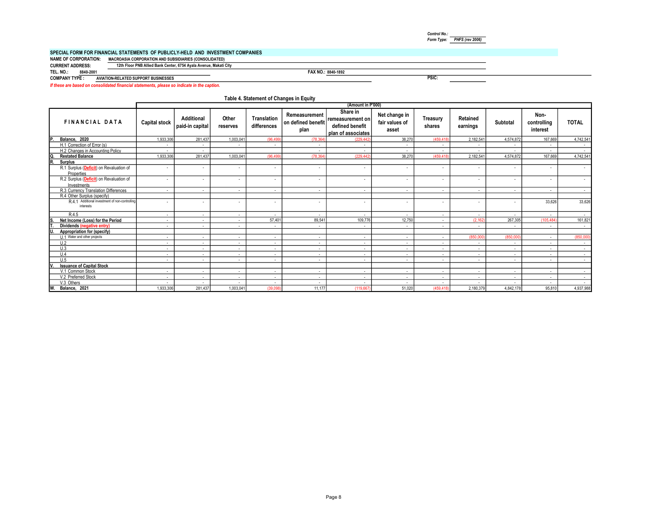|                             | SPECIAL FORM FOR FINANCIAL STATEMENTS  OF PUBLICLY-HELD  AND  INVESTMENT COMPANIES |
|-----------------------------|------------------------------------------------------------------------------------|
| <b>NAME OF CORPORATION:</b> | <b>MACROASIA CORPORATION AND SUBSIDIARIES (CONSOLIDATED)</b>                       |
| <b>CURRENT ADDRESS:</b>     | 12th Floor PNB Allied Bank Center, 6754 Ayala Avenue, Makati City                  |

TEL. NO.: 8840-2001

FAX NO.: 8840-1892

Form Type: PHFS (rev 2006)

PSIC:

Control No.:

COMPANY TYPE : AVIATION-RELATED SUPPORT BUSINESSES

If these are based on consolidated financial statements, please so indicate in the caption.

#### Table 4. Statement of Changes in Equity

|                                                             |                      |                                      |                          |                            |                                             | (Amount in P'000)                                                     |                                          |                          |                          |           |                                 |              |
|-------------------------------------------------------------|----------------------|--------------------------------------|--------------------------|----------------------------|---------------------------------------------|-----------------------------------------------------------------------|------------------------------------------|--------------------------|--------------------------|-----------|---------------------------------|--------------|
| <b>FINANCIAL DATA</b>                                       | <b>Capital stock</b> | <b>Additional</b><br>paid-in capital | Other<br>reserves        | Translation<br>differences | Remeasurement<br>on defined benefit<br>plan | Share in<br>remeasurement on<br>defined benefit<br>plan of associates | Net change in<br>fair values of<br>asset | Treasury<br>shares       | Retained<br>earnings     | Subtotal  | Non-<br>controlling<br>interest | <b>TOTAL</b> |
| D<br>Balance, 2020                                          | 1.933.306            | 281.437                              | 1,003,041                | (96.499)                   | (78.364)                                    | (229,442)                                                             | 38.270                                   | (459,418)                | 2,182,541                | 4.574.872 | 167.669                         | 4,742,541    |
| H.1 Correction of Error (s)                                 | $\sim$               | $\sim$                               |                          | $\sim$                     | $\sim$                                      | $\sim$                                                                | $\sim$                                   | $\sim$                   |                          | $\sim$    | $\sim$                          |              |
| H.2 Changes in Accounting Policy                            | $\sim$               | $\sim$                               |                          |                            | $\sim$                                      | ٠                                                                     | $\sim$                                   | $\sim$                   | $\overline{\phantom{a}}$ | $\sim$    | $\sim$                          | $\sim$       |
| <b>Restated Balance</b>                                     | 1.933.306            | 281.437                              | 1.003.04                 | (96.499)                   | (78.364                                     | (229,442                                                              | 38.270                                   | (459,418                 | 2.182.541                | 4.574.872 | 167,669                         | 4.742.541    |
| R.<br><b>Surplus</b>                                        |                      |                                      |                          |                            |                                             |                                                                       |                                          |                          |                          |           |                                 |              |
| R.1 Surplus (Deficit) on Revaluation of<br>Properties       | $\sim$               | $\sim$                               | $\overline{\phantom{a}}$ |                            | $\sim$                                      | ٠                                                                     | $\sim$                                   | $\sim$                   |                          | ٠         | $\overline{\phantom{a}}$        | $\sim$       |
| R.2 Surplus (Deficit) on Revaluation of<br>Investments      | $\sim$               | $\sim$                               | $\overline{\phantom{a}}$ | $\overline{\phantom{a}}$   | $\sim$                                      | ٠                                                                     | $\overline{\phantom{a}}$                 | $\sim$                   | $\sim$                   | ٠         | $\sim$                          | $\sim$       |
| R.3 Currency Translation Differences                        | $\sim$               | $\sim$                               | ٠                        | $\sim$                     | $\sim$                                      | $\sim$                                                                | $\sim$                                   | $\sim$                   | $\sim$                   | $\sim$    | $\sim$                          | $\sim$       |
| R.4 Other Surplus (specify)                                 |                      |                                      |                          |                            |                                             |                                                                       |                                          |                          |                          |           |                                 |              |
| R.4.1 Additional investment of non-controlling<br>interests | $\sim$               |                                      |                          |                            | $\sim$                                      | $\sim$                                                                | $\sim$                                   | $\overline{\phantom{a}}$ |                          | $\sim$    | 33.626                          | 33,626       |
| R.4.5                                                       | $\sim$               | $\sim$                               | $\sim$                   | $\sim$                     | $\sim$                                      | $\sim$                                                                | $\sim$                                   | $\sim$                   | $\sim$                   | $\sim$    | $\sim$                          | $\sim$       |
| Net Income (Loss) for the Period                            | $\sim$               | $\sim$                               | $\sim$                   | 57.401                     | 89.541                                      | 109,776                                                               | 12,750                                   | $\sim$                   | (2.162)                  | 267,305   | (105.484)                       | 161,821      |
| Dividends (negative entry)                                  | $\sim$               | $\sim$                               | $\sim$                   | $\sim$                     | $\sim$                                      | $\sim$                                                                | $\sim$                                   | $\sim$                   |                          | $\sim$    | $\overline{a}$                  | $\sim$       |
| Appropriation for (specify)                                 |                      |                                      |                          |                            |                                             |                                                                       |                                          |                          |                          |           |                                 |              |
| 111 Water and other projects                                | $\sim$               | $\sim$                               | $\sim$                   | $\sim$                     | $\sim$                                      | $\sim$                                                                | $\sim$                                   | $\sim$                   | (850,000                 | (850,000  | $\sim$                          | (850,000)    |
| U.2                                                         | $\sim$               | $\sim$                               | $\sim$                   | $\sim$                     | $\sim$                                      | $\overline{\phantom{a}}$                                              | $\sim$                                   | $\sim$                   | $\sim$                   | $\sim$    | $\sim$                          | $\sim$       |
| U.3                                                         | $\sim$               | $\sim$                               | $\sim$                   | $\sim$                     | $\sim$                                      | $\sim$                                                                | $\sim$                                   | $\sim$                   | $\sim$                   | $\sim$    | $\sim$                          | $\sim$       |
| U.4                                                         | $\sim$               | $\sim$                               | $\sim$                   | $\sim$                     | $\sim$                                      | $\sim$                                                                | $\sim$                                   | $\sim$                   | $\overline{\phantom{a}}$ | $\sim$    | $\overline{a}$                  | $\sim$       |
| U.5                                                         | $\sim$               | $\sim$                               | $\sim$                   | $\sim$                     | $\sim$                                      | $\sim$                                                                | $\sim$                                   | $\sim$                   | $\sim$                   | $\sim$    | $\sim$                          | $\sim$       |
| <b>Issuance of Capital Stock</b>                            |                      |                                      |                          |                            |                                             |                                                                       |                                          |                          |                          |           |                                 |              |
| V.1 Common Stock                                            | $\sim$               | $\sim$                               | $\sim$                   | $\sim$                     | $\sim$                                      | $\sim$                                                                | $\sim$                                   | $\sim$                   | $\sim$                   | $\sim$    | $\sim$                          | $\sim$       |
| V.2 Preferred Stock                                         | $\sim$               | $\sim$                               | $\sim$                   | $\sim$                     | $\sim$                                      | $\overline{\phantom{a}}$                                              | <b>Section</b>                           | $\sim$                   | $\overline{\phantom{a}}$ | $\sim$    | $\overline{a}$                  | $\sim$       |
| V.3 Others                                                  | <b>Section</b>       | $\sim$                               | ٠                        | $\sim$                     | $\sim$                                      | ٠                                                                     | <b>Section</b>                           | $\sim$                   |                          | $\sim$    | $\sim$                          | $\sim$       |
| W.<br>Balance, 2021                                         | 1,933,306            | 281,437                              | 1,003,041                | (39,098)                   | 11,177                                      | (119, 667)                                                            | 51,020                                   | (459,418                 | 2,180,379                | 4,842,178 | 95,810                          | 4,937,988    |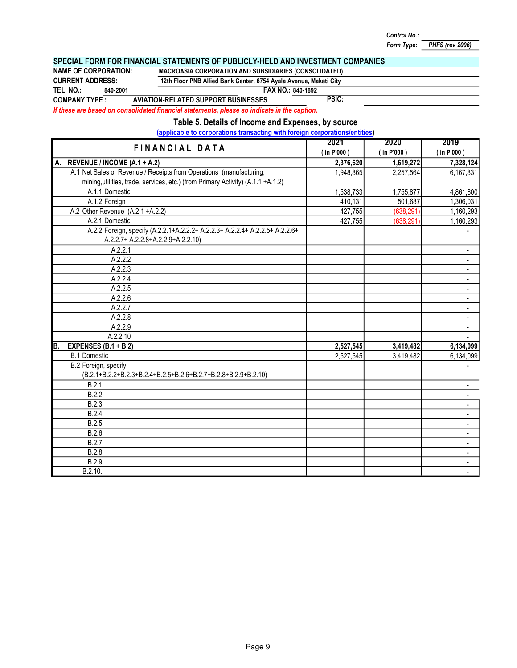FAX NO.: 840-1892 PSIC: 2021 2020 2019 ( in P'000 ) ( in P'000 ) ( in P'000 ) A. 2,376,620 1,619,272 7,328,124 REVENUE / INCOME (A.1 + A.2) 1,948,865 2,257,564 6,167,831 A.1.1 Domestic 1,538,733 | 1,755,877 | 4,861,800 A.1.2 Foreign 410,131 | 501,687 | 1,306,031 427,755 (638,291) 1,160,293 A.2.1 427,755 (638,291) 1,160,293 A.2.2 Foreign, specify (A.2.2.1+A.2.2.2+ A.2.2.3+ A.2.2.4+ A.2.2.5+ A.2.2.6+ | -A.2.2.1 **A.2.2.1 A.2.2.1** A.2.2.2 - A.2.2.3 - A.2.2.4 - A.2.2.5 - A.2.2.6 - A.2.2.7 **A.2.2.7 A.2.2.7** A.2.2.8 - A.2.2.9 - A.2.2.10 - B. 2,527,545 3,419,482 6,134,099 EXPENSES (B.1 + B.2) 2,527,545 3,419,482 6,134,099 - 1990 - 1990 - 1991 **B.2.1** - **B.2.1** - **B.2.1** - **B.2.1** - **B.2.1** - **B.2.1** - **B.2.1** - **B.2.1** - **B.2.1 B.2.2** - **B.2.2** - **B.2.2** - **Contract of the contract of the contract of the contract of the contract of the contract of the contract of the contract of the contract of the contract of the contract of the contract of the** B.2.3 - **B.2.4** - **B.2.4** - **B.2.4** - **Contract of the contract of the contract of the contract of the contract of the contract of the contract of the contract of the contract of the contract of the contract of the contract of the B.2.5** - **B.2.5** - **B.2.5** - **CONSTRUCTION B.2.6** - **B.2.6** - **B.2.6** - **CONSTRUCTION B.2.7** - **B.2.7** - **B.2.7** - **Contract of the contract of the contract of the contract of the contract of the contract of the contract of the contract of the contract of the contract of the contract of the contract of the** B.2.8 - B.2.9 - **B.2.10. CONSERVERS B.2.10. CONSERVERS B.2.10. CONSERVERS B.2.10. CONSERVERSION** FINANCIAL DATA A.1.1 Domestic A.1.2 Foreign A.2 Other Revenue (A.2.1 +A.2.2) A.1 Net Sales or Revenue / Receipts from Operations (manufacturing, mining, utilities, trade, services, etc.) (from Primary Activity) (A.1.1 +A.1.2) CURRENT ADDRESS: 840-2001 12th Floor PNB Allied Bank Center, 6754 Ayala Avenue, Makati City TEL. NO.: SPECIAL FORM FOR FINANCIAL STATEMENTS OF PUBLICLY-HELD AND INVESTMENT COMPANIES NAME OF CORPORATION: MACROASIA CORPORATION AND SUBSIDIARIES (CONSOLIDATED) If these are based on consolidated financial statements, please so indicate in the caption. Table 5. Details of Income and Expenses, by source (applicable to corporations transacting with foreign corporations/entities) COMPANY TYPE : AVIATION-RELATED SUPPORT BUSINESSES A.2.2.7+ A.2.2.8+A.2.2.9+A.2.2.10) A.2.1 Domestic B.1 Domestic B.2 Foreign, specify (B.2.1+B.2.2+B.2.3+B.2.4+B.2.5+B.2.6+B.2.7+B.2.8+B.2.9+B.2.10)

Form Type: PHFS (rev 2006)

Control No.: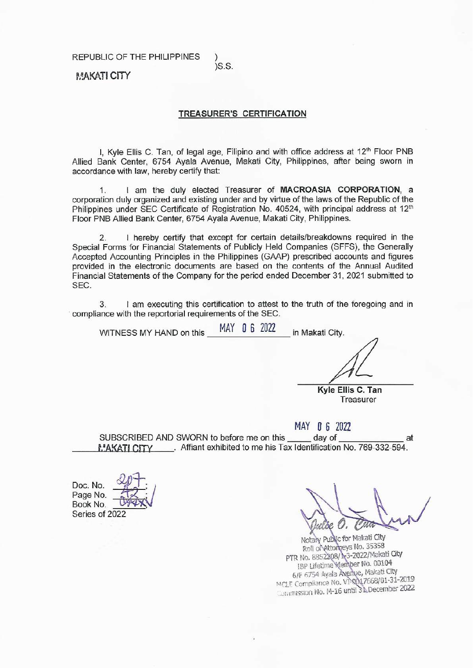REPUBLIC OF THE PHILIPPINES

 $)S.S.$ 

## **MAKATI CITY**

#### **TREASURER'S CERTIFICATION**

I, Kyle Ellis C. Tan, of legal age, Filipino and with office address at 12<sup>th</sup> Floor PNB Allied Bank Center, 6754 Ayala Avenue, Makati City, Philippines, after being sworn in accordance with law, hereby certify that:

I am the duly elected Treasurer of MACROASIA CORPORATION. a  $\mathbf 1$ corporation duly organized and existing under and by virtue of the laws of the Republic of the Philippines under SEC Certificate of Registration No. 40524, with principal address at 12<sup>th</sup> Floor PNB Allied Bank Center, 6754 Ayala Avenue, Makati City, Philippines.

I hereby certify that except for certain details/breakdowns required in the  $2.$ Special Forms for Financial Statements of Publicly Held Companies (SFFS), the Generally Accepted Accounting Principles in the Philippines (GAAP) prescribed accounts and figures provided in the electronic documents are based on the contents of the Annual Audited Financial Statements of the Company for the period ended December 31, 2021 submitted to SEC.

I am executing this certification to attest to the truth of the foregoing and in 3. compliance with the reportorial requirements of the SEC.

MAY 0 6 2022 WITNESS MY HAND on this in Makati City.

> Kyle Ellis C. Tan Treasurer

#### MAY 0 6 2022

SUBSCRIBED AND SWORN to before me on this day of at MAKATI CITY . Affiant exhibited to me his Tax Identification No. 769-332-594.

Doc. No. Page No. Book No. Series of 2022

Notaly Public for Makati City Roll of Attorneys No. 35358 PTR No. 8852308/1-3-2022/Makati City IBP Lifetime Wember No. 00104 6/F 6754 Ayala Avenue, Makati City MCLE Compliance No. V1-0017668/01-31-2019 Commission No. M-16 until 31 December 2022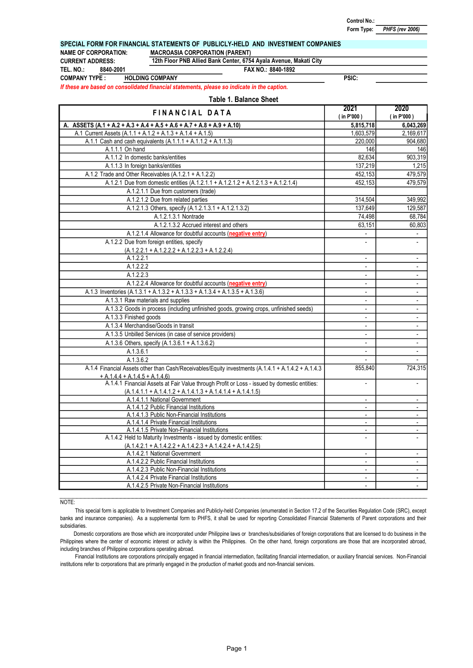PSIC:

#### SPECIAL FORM FOR FINANCIAL STATEMENTS OF PUBLICLY-HELD AND INVESTMENT COMPANIES

NAME OF CORPORATION: MACROASIA CORPORATION (PARENT)

TEL. NO.: CURRENT ADDRESS:

8840-2001

12th Floor PNB Allied Bank Center, 6754 Ayala Avenue, Makati City

FAX NO.: 8840-1892

COMPANY TYPE : HOLDING COMPANY

If these are based on consolidated financial statements, please so indicate in the caption.

#### Table 1. Balance Sheet

| FINANCIAL DATA                                                                                                                                                | 2021<br>$($ in P'000)    | 2020<br>$($ in P'000)    |
|---------------------------------------------------------------------------------------------------------------------------------------------------------------|--------------------------|--------------------------|
| A. ASSETS $(A.1 + A.2 + A.3 + A.4 + A.5 + A.6 + A.7 + A.8 + A.9 + A.10)$                                                                                      | 5,815,718                | 6,043,269                |
| A.1 Current Assets (A.1.1 + A.1.2 + A.1.3 + A.1.4 + A.1.5)                                                                                                    | 1,603,579                | 2,169,617                |
| A.1.1 Cash and cash equivalents $(A.1.1.1 + A.1.1.2 + A.1.1.3)$                                                                                               | 220,000                  | 904,680                  |
| A.1.1.1 On hand                                                                                                                                               | 146                      | 146                      |
| A.1.1.2 In domestic banks/entities                                                                                                                            | 82,634                   | 903,319                  |
| A.1.1.3 In foreign banks/entities                                                                                                                             | 137,219                  | 1,215                    |
| A.1.2 Trade and Other Receivables (A.1.2.1 + A.1.2.2)                                                                                                         | 452,153                  | 479,579                  |
| A.1.2.1 Due from domestic entities (A.1.2.1.1 + A.1.2.1.2 + A.1.2.1.3 + A.1.2.1.4)                                                                            | 452,153                  | 479.579                  |
| A.1.2.1.1 Due from customers (trade)                                                                                                                          |                          |                          |
| A.1.2.1.2 Due from related parties                                                                                                                            | 314,504                  | 349,992                  |
| A.1.2.1.3 Others, specify (A.1.2.1.3.1 + A.1.2.1.3.2)                                                                                                         | 137,649                  | 129,587                  |
| A.1.2.1.3.1 Nontrade                                                                                                                                          | 74,498                   | 68,784                   |
| A.1.2.1.3.2 Accrued interest and others                                                                                                                       | 63,151                   | 60.803                   |
| A.1.2.1.4 Allowance for doubtful accounts (negative entry)                                                                                                    |                          |                          |
| A.1.2.2 Due from foreign entities, specify                                                                                                                    | $\overline{\phantom{a}}$ | $\overline{a}$           |
| $(A.1.2.2.1 + A.1.2.2.2 + A.1.2.2.3 + A.1.2.2.4)$                                                                                                             |                          |                          |
| A.1.2.2.1                                                                                                                                                     | $\overline{\phantom{a}}$ | $\overline{\phantom{a}}$ |
| A.1.2.2.2                                                                                                                                                     | $\overline{\phantom{a}}$ | $\blacksquare$           |
| A.1.2.2.3                                                                                                                                                     | $\overline{\phantom{a}}$ |                          |
| A.1.2.2.4 Allowance for doubtful accounts (negative entry)                                                                                                    | $\overline{a}$           | $\overline{a}$           |
| A.1.3 Inventories (A.1.3.1 + A.1.3.2 + A.1.3.3 + A.1.3.4 + A.1.3.5 + A.1.3.6)                                                                                 | $\overline{a}$           |                          |
| A.1.3.1 Raw materials and supplies                                                                                                                            | $\overline{\phantom{a}}$ | $\overline{\phantom{a}}$ |
| A.1.3.2 Goods in process (including unfinished goods, growing crops, unfinished seeds)                                                                        | $\overline{a}$           | $\overline{\phantom{a}}$ |
| A.1.3.3 Finished goods                                                                                                                                        | $\overline{a}$           |                          |
| A.1.3.4 Merchandise/Goods in transit                                                                                                                          | $\blacksquare$           | $\blacksquare$           |
| A.1.3.5 Unbilled Services (in case of service providers)                                                                                                      | $\overline{a}$           | $\overline{a}$           |
| A.1.3.6 Others, specify (A.1.3.6.1 + A.1.3.6.2)                                                                                                               | $\overline{a}$           | $\ddot{\phantom{a}}$     |
| A.1.3.6.1                                                                                                                                                     | $\overline{\phantom{a}}$ | $\blacksquare$           |
| A.1.3.6.2                                                                                                                                                     |                          |                          |
| A.1.4 Financial Assets other than Cash/Receivables/Equity investments (A.1.4.1 + A.1.4.2 + A.1.4.3<br>$+ A.1.4.4 + A.1.4.5 + A.1.4.6$                         | 855,840                  | 724,315                  |
| A.1.4.1 Financial Assets at Fair Value through Profit or Loss - issued by domestic entities:<br>$(A.1.4.1.1 + A.1.4.1.2 + A.1.4.1.3 + A.1.4.1.4 + A.1.4.1.5)$ | $\overline{a}$           | $\overline{\phantom{a}}$ |
| A.1.4.1.1 National Government                                                                                                                                 | $\blacksquare$           | $\blacksquare$           |
| A.1.4.1.2 Public Financial Institutions                                                                                                                       | $\overline{\phantom{a}}$ | $\overline{\phantom{a}}$ |
| A.1.4.1.3 Public Non-Financial Institutions                                                                                                                   | $\blacksquare$           | $\sim$                   |
| A.1.4.1.4 Private Financial Institutions                                                                                                                      | $\overline{\phantom{a}}$ | $\overline{\phantom{a}}$ |
| A.1.4.1.5 Private Non-Financial Institutions                                                                                                                  | $\overline{\phantom{a}}$ | $\overline{\phantom{a}}$ |
| A.1.4.2 Held to Maturity Investments - issued by domestic entities:                                                                                           | $\overline{a}$           |                          |
| $(A.1.4.2.1 + A.1.4.2.2 + A.1.4.2.3 + A.1.4.2.4 + A.1.4.2.5)$                                                                                                 |                          |                          |
| A.1.4.2.1 National Government                                                                                                                                 | $\overline{\phantom{a}}$ | $\blacksquare$           |
| A.1.4.2.2 Public Financial Institutions                                                                                                                       | $\overline{\phantom{a}}$ | $\blacksquare$           |
| A.1.4.2.3 Public Non-Financial Institutions                                                                                                                   | $\overline{\phantom{a}}$ | $\overline{\phantom{a}}$ |
| A.1.4.2.4 Private Financial Institutions                                                                                                                      | $\blacksquare$           | $\blacksquare$           |
| A.1.4.2.5 Private Non-Financial Institutions                                                                                                                  |                          |                          |

NOTE:

This special form is applicable to Investment Companies and Publicly-held Companies (enumerated in Section 17.2 of the Securities Regulation Code (SRC), except banks and insurance companies). As a supplemental form to PHFS, it shall be used for reporting Consolidated Financial Statements of Parent corporations and their subsidiaries.

Domestic corporations are those which are incorporated under Philippine laws or branches/subsidiaries of foreign corporations that are licensed to do business in the Philippines where the center of economic interest or activity is within the Philippines. On the other hand, foreign corporations are those that are incorporated abroad, including branches of Philippine corporations operating abroad.

Financial Institutions are corporations principally engaged in financial intermediation, facilitating financial intermediation, or auxiliary financial services. Non-Financial institutions refer to corporations that are primarily engaged in the production of market goods and non-financial services.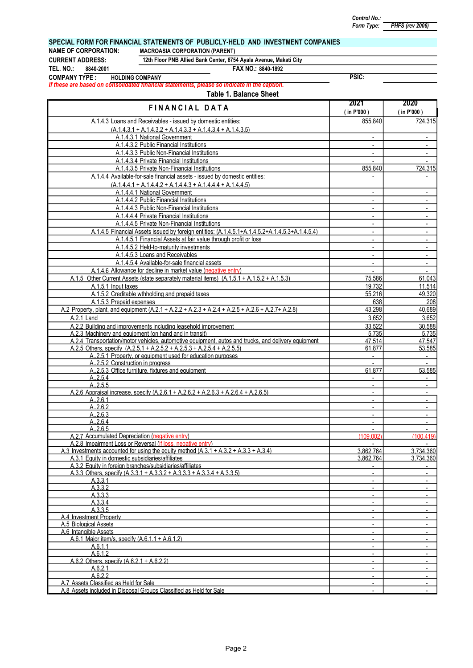PSIC:

# PHFS (rev 2006)

## SPECIAL FORM FOR FINANCIAL STATEMENTS OF PUBLICLY-HELD AND INVESTMENT COMPANIES

NAME OF CORPORATION: MACROASIA CORPORATION (PARENT)

CURRENT ADDRESS: 8840-2001 TEL. NO.:

12th Floor PNB Allied Bank Center, 6754 Ayala Avenue, Makati City

FAX NO.: 8840-1892

COMPANY TYPE : HOLDING COMPANY

If these are based on consolidated financial statements, please so indicate in the caption.

| A.1.4.3 Loans and Receivables - issued by domestic entities:<br>855,840<br>$(A.1.4.3.1 + A.1.4.3.2 + A.1.4.3.3 + A.1.4.3.4 + A.1.4.3.5)$<br>A.1.4.3.1 National Government<br>A.1.4.3.2 Public Financial Institutions<br>$\blacksquare$<br>A.1.4.3.3 Public Non-Financial Institutions<br>$\overline{\phantom{a}}$<br>A.1.4.3.4 Private Financial Institutions<br>A.1.4.3.5 Private Non-Financial Institutions<br>855,840<br>A.1.4.4 Available-for-sale financial assets - issued by domestic entities:<br>$\blacksquare$<br>$(A.1.4.4.1 + A.1.4.4.2 + A.1.4.4.3 + A.1.4.4.4 + A.1.4.4.5)$<br>A.1.4.4.1 National Government<br>$\overline{\phantom{a}}$<br>A.1.4.4.2 Public Financial Institutions<br>$\overline{a}$<br>$\blacksquare$<br>A.1.4.4.3 Public Non-Financial Institutions<br>$\blacksquare$<br>A.1.4.4.4 Private Financial Institutions<br>$\overline{\phantom{a}}$<br>A.1.4.4.5 Private Non-Financial Institutions<br>$\blacksquare$<br>A.1.4.5 Financial Assets issued by foreign entities: (A.1.4.5.1+A.1.4.5.2+A.1.4.5.3+A.1.4.5.4)<br>$\overline{a}$<br>A.1.4.5.1 Financial Assets at fair value through profit or loss<br>$\overline{a}$<br>$\blacksquare$<br>A.1.4.5.2 Held-to-maturity investments<br>$\overline{\phantom{a}}$<br>$\blacksquare$<br>A.1.4.5.3 Loans and Receivables<br>$\blacksquare$<br>A.1.4.5.4 Available-for-sale financial assets<br>$\overline{a}$<br>$\blacksquare$<br>A.1.4.6 Allowance for decline in market value (negative entry)<br>A.1.5 Other Current Assets (state separately material items) (A.1.5.1 + A.1.5.2 + A.1.5.3)<br>75,586<br>61,043<br>A.1.5.1 Input taxes<br>19,732<br>11,514<br>A.1.5.2 Creditable wthholding and prepaid taxes<br>55,216<br>49,320<br>638<br>A.1.5.3 Prepaid expenses<br>A.2 Property, plant, and equipment (A.2.1 + A.2.2 + A.2.3 + A.2.4 + A.2.5 + A.2.6 + A.2.7 + A.2.8)<br>40,689<br>43,298<br>3,652<br>3,652<br>A.2.1 Land<br>A.2.2 Building and improvements including leasehold improvement<br>33.522<br>30.588<br>A.2.3 Machinery and equipment (on hand and in transit)<br>5.735<br>5,735<br>A.2.4 Transportation/motor vehicles, automotive equipment, autos and trucks, and delivery equipment<br>47.514<br>A.2.5 Others. specify (A.2.5.1 + A.2.5.2 + A.2.5.3 + A.2.5.4 + A.2.5.5)<br>61.877<br>A.2.5.1 Property, or equipment used for education purposes<br>$\blacksquare$<br>A2.5.2 Construction in progress<br>A2.5.3 Office furniture. fixtures and equipment<br>61.877<br>A.2.5.4<br>A.2.5.5<br>$\blacksquare$<br>A.2.6 Appraisal increase. specify (A.2.6.1 + A.2.6.2 + A.2.6.3 + A.2.6.4 + A.2.6.5)<br>$\blacksquare$<br>A.2.6.1<br>$\blacksquare$<br>A.2.6.2<br>$\sim$<br>$\overline{\phantom{a}}$<br>A.2.6.3<br>A.2.6.4<br>$\sim$<br>$\blacksquare$<br>A.2.6.5<br>A.2.7 Accumulated Depreciation (negative entry)<br>(109.002)<br>(100.419)<br>A.2.8 Impairment Loss or Reversal (if loss, negative entry)<br>A.3 Investments accounted for using the equity method $(A.3.1 + A.3.2 + A.3.3 + A.3.4)$<br>3.734.360<br>3.862.764<br>A.3.1 Equity in domestic subsidiaries/affiliates<br>3.862,764<br>3.734.360<br>A.3.2 Equity in foreign branches/subsidiaries/affiliates<br>A.3.3 Others, specify $(A.3.3.1 + A.3.3.2 + A.3.3.3 + A.3.3.4 + A.3.3.5)$<br>$\overline{\phantom{a}}$<br>A.3.3.1<br>$\blacksquare$<br>A.3.3.2<br>$\blacksquare$<br>A.3.3.3<br>A.3.3.4<br>$\overline{\phantom{a}}$<br>$\blacksquare$<br>A.3.3.5<br>$\blacksquare$<br>A.4 Investment Property<br>$\blacksquare$<br>A.5 Biological Assets<br>$\blacksquare$<br>$\blacksquare$<br>A.6 Intangible Assets<br>$\blacksquare$<br>A.6.1 Maior item/s. specify (A.6.1.1 + A.6.1.2)<br>$\blacksquare$<br>A.6.1.1<br>A.6.1.2<br>$\blacksquare$<br>A.6.2 Others. specify $(A.6.2.1 + A.6.2.2)$<br>$\overline{\phantom{a}}$<br>A.6.2.1<br>$\overline{\phantom{a}}$<br>$\blacksquare$<br>A.6.2.2<br>$\overline{\phantom{a}}$<br>A.7 Assets Classified as Held for Sale<br>$\blacksquare$<br>A.8 Assets included in Disposal Groups Classified as Held for Sale | FINANCIAL DATA | 2021<br>$($ in P'000) | 2020<br>(in P'000) |
|-------------------------------------------------------------------------------------------------------------------------------------------------------------------------------------------------------------------------------------------------------------------------------------------------------------------------------------------------------------------------------------------------------------------------------------------------------------------------------------------------------------------------------------------------------------------------------------------------------------------------------------------------------------------------------------------------------------------------------------------------------------------------------------------------------------------------------------------------------------------------------------------------------------------------------------------------------------------------------------------------------------------------------------------------------------------------------------------------------------------------------------------------------------------------------------------------------------------------------------------------------------------------------------------------------------------------------------------------------------------------------------------------------------------------------------------------------------------------------------------------------------------------------------------------------------------------------------------------------------------------------------------------------------------------------------------------------------------------------------------------------------------------------------------------------------------------------------------------------------------------------------------------------------------------------------------------------------------------------------------------------------------------------------------------------------------------------------------------------------------------------------------------------------------------------------------------------------------------------------------------------------------------------------------------------------------------------------------------------------------------------------------------------------------------------------------------------------------------------------------------------------------------------------------------------------------------------------------------------------------------------------------------------------------------------------------------------------------------------------------------------------------------------------------------------------------------------------------------------------------------------------------------------------------------------------------------------------------------------------------------------------------------------------------------------------------------------------------------------------------------------------------------------------------------------------------------------------------------------------------------------------------------------------------------------------------------------------------------------------------------------------------------------------------------------------------------------------------------------------------------------------------------------------------------------------------------------------------------------------------------------------------------------------------------------------------------------------------------------------------------------------------------------------------------------------------------------------------------------------------------------------------------------------------------------------------------------------------------------------------------------------------------------------|----------------|-----------------------|--------------------|
|                                                                                                                                                                                                                                                                                                                                                                                                                                                                                                                                                                                                                                                                                                                                                                                                                                                                                                                                                                                                                                                                                                                                                                                                                                                                                                                                                                                                                                                                                                                                                                                                                                                                                                                                                                                                                                                                                                                                                                                                                                                                                                                                                                                                                                                                                                                                                                                                                                                                                                                                                                                                                                                                                                                                                                                                                                                                                                                                                                                                                                                                                                                                                                                                                                                                                                                                                                                                                                                                                                                                                                                                                                                                                                                                                                                                                                                                                                                                                                                                                                     |                |                       | 724,315            |
|                                                                                                                                                                                                                                                                                                                                                                                                                                                                                                                                                                                                                                                                                                                                                                                                                                                                                                                                                                                                                                                                                                                                                                                                                                                                                                                                                                                                                                                                                                                                                                                                                                                                                                                                                                                                                                                                                                                                                                                                                                                                                                                                                                                                                                                                                                                                                                                                                                                                                                                                                                                                                                                                                                                                                                                                                                                                                                                                                                                                                                                                                                                                                                                                                                                                                                                                                                                                                                                                                                                                                                                                                                                                                                                                                                                                                                                                                                                                                                                                                                     |                |                       |                    |
|                                                                                                                                                                                                                                                                                                                                                                                                                                                                                                                                                                                                                                                                                                                                                                                                                                                                                                                                                                                                                                                                                                                                                                                                                                                                                                                                                                                                                                                                                                                                                                                                                                                                                                                                                                                                                                                                                                                                                                                                                                                                                                                                                                                                                                                                                                                                                                                                                                                                                                                                                                                                                                                                                                                                                                                                                                                                                                                                                                                                                                                                                                                                                                                                                                                                                                                                                                                                                                                                                                                                                                                                                                                                                                                                                                                                                                                                                                                                                                                                                                     |                |                       |                    |
|                                                                                                                                                                                                                                                                                                                                                                                                                                                                                                                                                                                                                                                                                                                                                                                                                                                                                                                                                                                                                                                                                                                                                                                                                                                                                                                                                                                                                                                                                                                                                                                                                                                                                                                                                                                                                                                                                                                                                                                                                                                                                                                                                                                                                                                                                                                                                                                                                                                                                                                                                                                                                                                                                                                                                                                                                                                                                                                                                                                                                                                                                                                                                                                                                                                                                                                                                                                                                                                                                                                                                                                                                                                                                                                                                                                                                                                                                                                                                                                                                                     |                |                       | $\sim$             |
|                                                                                                                                                                                                                                                                                                                                                                                                                                                                                                                                                                                                                                                                                                                                                                                                                                                                                                                                                                                                                                                                                                                                                                                                                                                                                                                                                                                                                                                                                                                                                                                                                                                                                                                                                                                                                                                                                                                                                                                                                                                                                                                                                                                                                                                                                                                                                                                                                                                                                                                                                                                                                                                                                                                                                                                                                                                                                                                                                                                                                                                                                                                                                                                                                                                                                                                                                                                                                                                                                                                                                                                                                                                                                                                                                                                                                                                                                                                                                                                                                                     |                |                       | $\blacksquare$     |
|                                                                                                                                                                                                                                                                                                                                                                                                                                                                                                                                                                                                                                                                                                                                                                                                                                                                                                                                                                                                                                                                                                                                                                                                                                                                                                                                                                                                                                                                                                                                                                                                                                                                                                                                                                                                                                                                                                                                                                                                                                                                                                                                                                                                                                                                                                                                                                                                                                                                                                                                                                                                                                                                                                                                                                                                                                                                                                                                                                                                                                                                                                                                                                                                                                                                                                                                                                                                                                                                                                                                                                                                                                                                                                                                                                                                                                                                                                                                                                                                                                     |                |                       |                    |
|                                                                                                                                                                                                                                                                                                                                                                                                                                                                                                                                                                                                                                                                                                                                                                                                                                                                                                                                                                                                                                                                                                                                                                                                                                                                                                                                                                                                                                                                                                                                                                                                                                                                                                                                                                                                                                                                                                                                                                                                                                                                                                                                                                                                                                                                                                                                                                                                                                                                                                                                                                                                                                                                                                                                                                                                                                                                                                                                                                                                                                                                                                                                                                                                                                                                                                                                                                                                                                                                                                                                                                                                                                                                                                                                                                                                                                                                                                                                                                                                                                     |                |                       | 724,315            |
|                                                                                                                                                                                                                                                                                                                                                                                                                                                                                                                                                                                                                                                                                                                                                                                                                                                                                                                                                                                                                                                                                                                                                                                                                                                                                                                                                                                                                                                                                                                                                                                                                                                                                                                                                                                                                                                                                                                                                                                                                                                                                                                                                                                                                                                                                                                                                                                                                                                                                                                                                                                                                                                                                                                                                                                                                                                                                                                                                                                                                                                                                                                                                                                                                                                                                                                                                                                                                                                                                                                                                                                                                                                                                                                                                                                                                                                                                                                                                                                                                                     |                |                       |                    |
|                                                                                                                                                                                                                                                                                                                                                                                                                                                                                                                                                                                                                                                                                                                                                                                                                                                                                                                                                                                                                                                                                                                                                                                                                                                                                                                                                                                                                                                                                                                                                                                                                                                                                                                                                                                                                                                                                                                                                                                                                                                                                                                                                                                                                                                                                                                                                                                                                                                                                                                                                                                                                                                                                                                                                                                                                                                                                                                                                                                                                                                                                                                                                                                                                                                                                                                                                                                                                                                                                                                                                                                                                                                                                                                                                                                                                                                                                                                                                                                                                                     |                |                       |                    |
|                                                                                                                                                                                                                                                                                                                                                                                                                                                                                                                                                                                                                                                                                                                                                                                                                                                                                                                                                                                                                                                                                                                                                                                                                                                                                                                                                                                                                                                                                                                                                                                                                                                                                                                                                                                                                                                                                                                                                                                                                                                                                                                                                                                                                                                                                                                                                                                                                                                                                                                                                                                                                                                                                                                                                                                                                                                                                                                                                                                                                                                                                                                                                                                                                                                                                                                                                                                                                                                                                                                                                                                                                                                                                                                                                                                                                                                                                                                                                                                                                                     |                |                       | $\blacksquare$     |
|                                                                                                                                                                                                                                                                                                                                                                                                                                                                                                                                                                                                                                                                                                                                                                                                                                                                                                                                                                                                                                                                                                                                                                                                                                                                                                                                                                                                                                                                                                                                                                                                                                                                                                                                                                                                                                                                                                                                                                                                                                                                                                                                                                                                                                                                                                                                                                                                                                                                                                                                                                                                                                                                                                                                                                                                                                                                                                                                                                                                                                                                                                                                                                                                                                                                                                                                                                                                                                                                                                                                                                                                                                                                                                                                                                                                                                                                                                                                                                                                                                     |                |                       |                    |
|                                                                                                                                                                                                                                                                                                                                                                                                                                                                                                                                                                                                                                                                                                                                                                                                                                                                                                                                                                                                                                                                                                                                                                                                                                                                                                                                                                                                                                                                                                                                                                                                                                                                                                                                                                                                                                                                                                                                                                                                                                                                                                                                                                                                                                                                                                                                                                                                                                                                                                                                                                                                                                                                                                                                                                                                                                                                                                                                                                                                                                                                                                                                                                                                                                                                                                                                                                                                                                                                                                                                                                                                                                                                                                                                                                                                                                                                                                                                                                                                                                     |                |                       |                    |
|                                                                                                                                                                                                                                                                                                                                                                                                                                                                                                                                                                                                                                                                                                                                                                                                                                                                                                                                                                                                                                                                                                                                                                                                                                                                                                                                                                                                                                                                                                                                                                                                                                                                                                                                                                                                                                                                                                                                                                                                                                                                                                                                                                                                                                                                                                                                                                                                                                                                                                                                                                                                                                                                                                                                                                                                                                                                                                                                                                                                                                                                                                                                                                                                                                                                                                                                                                                                                                                                                                                                                                                                                                                                                                                                                                                                                                                                                                                                                                                                                                     |                |                       | $\blacksquare$     |
|                                                                                                                                                                                                                                                                                                                                                                                                                                                                                                                                                                                                                                                                                                                                                                                                                                                                                                                                                                                                                                                                                                                                                                                                                                                                                                                                                                                                                                                                                                                                                                                                                                                                                                                                                                                                                                                                                                                                                                                                                                                                                                                                                                                                                                                                                                                                                                                                                                                                                                                                                                                                                                                                                                                                                                                                                                                                                                                                                                                                                                                                                                                                                                                                                                                                                                                                                                                                                                                                                                                                                                                                                                                                                                                                                                                                                                                                                                                                                                                                                                     |                |                       |                    |
|                                                                                                                                                                                                                                                                                                                                                                                                                                                                                                                                                                                                                                                                                                                                                                                                                                                                                                                                                                                                                                                                                                                                                                                                                                                                                                                                                                                                                                                                                                                                                                                                                                                                                                                                                                                                                                                                                                                                                                                                                                                                                                                                                                                                                                                                                                                                                                                                                                                                                                                                                                                                                                                                                                                                                                                                                                                                                                                                                                                                                                                                                                                                                                                                                                                                                                                                                                                                                                                                                                                                                                                                                                                                                                                                                                                                                                                                                                                                                                                                                                     |                |                       | $\sim$             |
|                                                                                                                                                                                                                                                                                                                                                                                                                                                                                                                                                                                                                                                                                                                                                                                                                                                                                                                                                                                                                                                                                                                                                                                                                                                                                                                                                                                                                                                                                                                                                                                                                                                                                                                                                                                                                                                                                                                                                                                                                                                                                                                                                                                                                                                                                                                                                                                                                                                                                                                                                                                                                                                                                                                                                                                                                                                                                                                                                                                                                                                                                                                                                                                                                                                                                                                                                                                                                                                                                                                                                                                                                                                                                                                                                                                                                                                                                                                                                                                                                                     |                |                       |                    |
|                                                                                                                                                                                                                                                                                                                                                                                                                                                                                                                                                                                                                                                                                                                                                                                                                                                                                                                                                                                                                                                                                                                                                                                                                                                                                                                                                                                                                                                                                                                                                                                                                                                                                                                                                                                                                                                                                                                                                                                                                                                                                                                                                                                                                                                                                                                                                                                                                                                                                                                                                                                                                                                                                                                                                                                                                                                                                                                                                                                                                                                                                                                                                                                                                                                                                                                                                                                                                                                                                                                                                                                                                                                                                                                                                                                                                                                                                                                                                                                                                                     |                |                       |                    |
|                                                                                                                                                                                                                                                                                                                                                                                                                                                                                                                                                                                                                                                                                                                                                                                                                                                                                                                                                                                                                                                                                                                                                                                                                                                                                                                                                                                                                                                                                                                                                                                                                                                                                                                                                                                                                                                                                                                                                                                                                                                                                                                                                                                                                                                                                                                                                                                                                                                                                                                                                                                                                                                                                                                                                                                                                                                                                                                                                                                                                                                                                                                                                                                                                                                                                                                                                                                                                                                                                                                                                                                                                                                                                                                                                                                                                                                                                                                                                                                                                                     |                |                       | $\sim$             |
|                                                                                                                                                                                                                                                                                                                                                                                                                                                                                                                                                                                                                                                                                                                                                                                                                                                                                                                                                                                                                                                                                                                                                                                                                                                                                                                                                                                                                                                                                                                                                                                                                                                                                                                                                                                                                                                                                                                                                                                                                                                                                                                                                                                                                                                                                                                                                                                                                                                                                                                                                                                                                                                                                                                                                                                                                                                                                                                                                                                                                                                                                                                                                                                                                                                                                                                                                                                                                                                                                                                                                                                                                                                                                                                                                                                                                                                                                                                                                                                                                                     |                |                       |                    |
|                                                                                                                                                                                                                                                                                                                                                                                                                                                                                                                                                                                                                                                                                                                                                                                                                                                                                                                                                                                                                                                                                                                                                                                                                                                                                                                                                                                                                                                                                                                                                                                                                                                                                                                                                                                                                                                                                                                                                                                                                                                                                                                                                                                                                                                                                                                                                                                                                                                                                                                                                                                                                                                                                                                                                                                                                                                                                                                                                                                                                                                                                                                                                                                                                                                                                                                                                                                                                                                                                                                                                                                                                                                                                                                                                                                                                                                                                                                                                                                                                                     |                |                       |                    |
|                                                                                                                                                                                                                                                                                                                                                                                                                                                                                                                                                                                                                                                                                                                                                                                                                                                                                                                                                                                                                                                                                                                                                                                                                                                                                                                                                                                                                                                                                                                                                                                                                                                                                                                                                                                                                                                                                                                                                                                                                                                                                                                                                                                                                                                                                                                                                                                                                                                                                                                                                                                                                                                                                                                                                                                                                                                                                                                                                                                                                                                                                                                                                                                                                                                                                                                                                                                                                                                                                                                                                                                                                                                                                                                                                                                                                                                                                                                                                                                                                                     |                |                       |                    |
|                                                                                                                                                                                                                                                                                                                                                                                                                                                                                                                                                                                                                                                                                                                                                                                                                                                                                                                                                                                                                                                                                                                                                                                                                                                                                                                                                                                                                                                                                                                                                                                                                                                                                                                                                                                                                                                                                                                                                                                                                                                                                                                                                                                                                                                                                                                                                                                                                                                                                                                                                                                                                                                                                                                                                                                                                                                                                                                                                                                                                                                                                                                                                                                                                                                                                                                                                                                                                                                                                                                                                                                                                                                                                                                                                                                                                                                                                                                                                                                                                                     |                |                       |                    |
|                                                                                                                                                                                                                                                                                                                                                                                                                                                                                                                                                                                                                                                                                                                                                                                                                                                                                                                                                                                                                                                                                                                                                                                                                                                                                                                                                                                                                                                                                                                                                                                                                                                                                                                                                                                                                                                                                                                                                                                                                                                                                                                                                                                                                                                                                                                                                                                                                                                                                                                                                                                                                                                                                                                                                                                                                                                                                                                                                                                                                                                                                                                                                                                                                                                                                                                                                                                                                                                                                                                                                                                                                                                                                                                                                                                                                                                                                                                                                                                                                                     |                |                       |                    |
|                                                                                                                                                                                                                                                                                                                                                                                                                                                                                                                                                                                                                                                                                                                                                                                                                                                                                                                                                                                                                                                                                                                                                                                                                                                                                                                                                                                                                                                                                                                                                                                                                                                                                                                                                                                                                                                                                                                                                                                                                                                                                                                                                                                                                                                                                                                                                                                                                                                                                                                                                                                                                                                                                                                                                                                                                                                                                                                                                                                                                                                                                                                                                                                                                                                                                                                                                                                                                                                                                                                                                                                                                                                                                                                                                                                                                                                                                                                                                                                                                                     |                |                       | 208                |
|                                                                                                                                                                                                                                                                                                                                                                                                                                                                                                                                                                                                                                                                                                                                                                                                                                                                                                                                                                                                                                                                                                                                                                                                                                                                                                                                                                                                                                                                                                                                                                                                                                                                                                                                                                                                                                                                                                                                                                                                                                                                                                                                                                                                                                                                                                                                                                                                                                                                                                                                                                                                                                                                                                                                                                                                                                                                                                                                                                                                                                                                                                                                                                                                                                                                                                                                                                                                                                                                                                                                                                                                                                                                                                                                                                                                                                                                                                                                                                                                                                     |                |                       |                    |
|                                                                                                                                                                                                                                                                                                                                                                                                                                                                                                                                                                                                                                                                                                                                                                                                                                                                                                                                                                                                                                                                                                                                                                                                                                                                                                                                                                                                                                                                                                                                                                                                                                                                                                                                                                                                                                                                                                                                                                                                                                                                                                                                                                                                                                                                                                                                                                                                                                                                                                                                                                                                                                                                                                                                                                                                                                                                                                                                                                                                                                                                                                                                                                                                                                                                                                                                                                                                                                                                                                                                                                                                                                                                                                                                                                                                                                                                                                                                                                                                                                     |                |                       |                    |
|                                                                                                                                                                                                                                                                                                                                                                                                                                                                                                                                                                                                                                                                                                                                                                                                                                                                                                                                                                                                                                                                                                                                                                                                                                                                                                                                                                                                                                                                                                                                                                                                                                                                                                                                                                                                                                                                                                                                                                                                                                                                                                                                                                                                                                                                                                                                                                                                                                                                                                                                                                                                                                                                                                                                                                                                                                                                                                                                                                                                                                                                                                                                                                                                                                                                                                                                                                                                                                                                                                                                                                                                                                                                                                                                                                                                                                                                                                                                                                                                                                     |                |                       |                    |
|                                                                                                                                                                                                                                                                                                                                                                                                                                                                                                                                                                                                                                                                                                                                                                                                                                                                                                                                                                                                                                                                                                                                                                                                                                                                                                                                                                                                                                                                                                                                                                                                                                                                                                                                                                                                                                                                                                                                                                                                                                                                                                                                                                                                                                                                                                                                                                                                                                                                                                                                                                                                                                                                                                                                                                                                                                                                                                                                                                                                                                                                                                                                                                                                                                                                                                                                                                                                                                                                                                                                                                                                                                                                                                                                                                                                                                                                                                                                                                                                                                     |                |                       |                    |
|                                                                                                                                                                                                                                                                                                                                                                                                                                                                                                                                                                                                                                                                                                                                                                                                                                                                                                                                                                                                                                                                                                                                                                                                                                                                                                                                                                                                                                                                                                                                                                                                                                                                                                                                                                                                                                                                                                                                                                                                                                                                                                                                                                                                                                                                                                                                                                                                                                                                                                                                                                                                                                                                                                                                                                                                                                                                                                                                                                                                                                                                                                                                                                                                                                                                                                                                                                                                                                                                                                                                                                                                                                                                                                                                                                                                                                                                                                                                                                                                                                     |                |                       | 47.547             |
|                                                                                                                                                                                                                                                                                                                                                                                                                                                                                                                                                                                                                                                                                                                                                                                                                                                                                                                                                                                                                                                                                                                                                                                                                                                                                                                                                                                                                                                                                                                                                                                                                                                                                                                                                                                                                                                                                                                                                                                                                                                                                                                                                                                                                                                                                                                                                                                                                                                                                                                                                                                                                                                                                                                                                                                                                                                                                                                                                                                                                                                                                                                                                                                                                                                                                                                                                                                                                                                                                                                                                                                                                                                                                                                                                                                                                                                                                                                                                                                                                                     |                |                       | 53.585             |
|                                                                                                                                                                                                                                                                                                                                                                                                                                                                                                                                                                                                                                                                                                                                                                                                                                                                                                                                                                                                                                                                                                                                                                                                                                                                                                                                                                                                                                                                                                                                                                                                                                                                                                                                                                                                                                                                                                                                                                                                                                                                                                                                                                                                                                                                                                                                                                                                                                                                                                                                                                                                                                                                                                                                                                                                                                                                                                                                                                                                                                                                                                                                                                                                                                                                                                                                                                                                                                                                                                                                                                                                                                                                                                                                                                                                                                                                                                                                                                                                                                     |                |                       | $\sim$             |
|                                                                                                                                                                                                                                                                                                                                                                                                                                                                                                                                                                                                                                                                                                                                                                                                                                                                                                                                                                                                                                                                                                                                                                                                                                                                                                                                                                                                                                                                                                                                                                                                                                                                                                                                                                                                                                                                                                                                                                                                                                                                                                                                                                                                                                                                                                                                                                                                                                                                                                                                                                                                                                                                                                                                                                                                                                                                                                                                                                                                                                                                                                                                                                                                                                                                                                                                                                                                                                                                                                                                                                                                                                                                                                                                                                                                                                                                                                                                                                                                                                     |                |                       |                    |
|                                                                                                                                                                                                                                                                                                                                                                                                                                                                                                                                                                                                                                                                                                                                                                                                                                                                                                                                                                                                                                                                                                                                                                                                                                                                                                                                                                                                                                                                                                                                                                                                                                                                                                                                                                                                                                                                                                                                                                                                                                                                                                                                                                                                                                                                                                                                                                                                                                                                                                                                                                                                                                                                                                                                                                                                                                                                                                                                                                                                                                                                                                                                                                                                                                                                                                                                                                                                                                                                                                                                                                                                                                                                                                                                                                                                                                                                                                                                                                                                                                     |                |                       | 53.585             |
|                                                                                                                                                                                                                                                                                                                                                                                                                                                                                                                                                                                                                                                                                                                                                                                                                                                                                                                                                                                                                                                                                                                                                                                                                                                                                                                                                                                                                                                                                                                                                                                                                                                                                                                                                                                                                                                                                                                                                                                                                                                                                                                                                                                                                                                                                                                                                                                                                                                                                                                                                                                                                                                                                                                                                                                                                                                                                                                                                                                                                                                                                                                                                                                                                                                                                                                                                                                                                                                                                                                                                                                                                                                                                                                                                                                                                                                                                                                                                                                                                                     |                |                       |                    |
|                                                                                                                                                                                                                                                                                                                                                                                                                                                                                                                                                                                                                                                                                                                                                                                                                                                                                                                                                                                                                                                                                                                                                                                                                                                                                                                                                                                                                                                                                                                                                                                                                                                                                                                                                                                                                                                                                                                                                                                                                                                                                                                                                                                                                                                                                                                                                                                                                                                                                                                                                                                                                                                                                                                                                                                                                                                                                                                                                                                                                                                                                                                                                                                                                                                                                                                                                                                                                                                                                                                                                                                                                                                                                                                                                                                                                                                                                                                                                                                                                                     |                |                       |                    |
|                                                                                                                                                                                                                                                                                                                                                                                                                                                                                                                                                                                                                                                                                                                                                                                                                                                                                                                                                                                                                                                                                                                                                                                                                                                                                                                                                                                                                                                                                                                                                                                                                                                                                                                                                                                                                                                                                                                                                                                                                                                                                                                                                                                                                                                                                                                                                                                                                                                                                                                                                                                                                                                                                                                                                                                                                                                                                                                                                                                                                                                                                                                                                                                                                                                                                                                                                                                                                                                                                                                                                                                                                                                                                                                                                                                                                                                                                                                                                                                                                                     |                |                       | $\sim$             |
|                                                                                                                                                                                                                                                                                                                                                                                                                                                                                                                                                                                                                                                                                                                                                                                                                                                                                                                                                                                                                                                                                                                                                                                                                                                                                                                                                                                                                                                                                                                                                                                                                                                                                                                                                                                                                                                                                                                                                                                                                                                                                                                                                                                                                                                                                                                                                                                                                                                                                                                                                                                                                                                                                                                                                                                                                                                                                                                                                                                                                                                                                                                                                                                                                                                                                                                                                                                                                                                                                                                                                                                                                                                                                                                                                                                                                                                                                                                                                                                                                                     |                |                       | $\blacksquare$     |
|                                                                                                                                                                                                                                                                                                                                                                                                                                                                                                                                                                                                                                                                                                                                                                                                                                                                                                                                                                                                                                                                                                                                                                                                                                                                                                                                                                                                                                                                                                                                                                                                                                                                                                                                                                                                                                                                                                                                                                                                                                                                                                                                                                                                                                                                                                                                                                                                                                                                                                                                                                                                                                                                                                                                                                                                                                                                                                                                                                                                                                                                                                                                                                                                                                                                                                                                                                                                                                                                                                                                                                                                                                                                                                                                                                                                                                                                                                                                                                                                                                     |                |                       |                    |
|                                                                                                                                                                                                                                                                                                                                                                                                                                                                                                                                                                                                                                                                                                                                                                                                                                                                                                                                                                                                                                                                                                                                                                                                                                                                                                                                                                                                                                                                                                                                                                                                                                                                                                                                                                                                                                                                                                                                                                                                                                                                                                                                                                                                                                                                                                                                                                                                                                                                                                                                                                                                                                                                                                                                                                                                                                                                                                                                                                                                                                                                                                                                                                                                                                                                                                                                                                                                                                                                                                                                                                                                                                                                                                                                                                                                                                                                                                                                                                                                                                     |                |                       |                    |
|                                                                                                                                                                                                                                                                                                                                                                                                                                                                                                                                                                                                                                                                                                                                                                                                                                                                                                                                                                                                                                                                                                                                                                                                                                                                                                                                                                                                                                                                                                                                                                                                                                                                                                                                                                                                                                                                                                                                                                                                                                                                                                                                                                                                                                                                                                                                                                                                                                                                                                                                                                                                                                                                                                                                                                                                                                                                                                                                                                                                                                                                                                                                                                                                                                                                                                                                                                                                                                                                                                                                                                                                                                                                                                                                                                                                                                                                                                                                                                                                                                     |                |                       |                    |
|                                                                                                                                                                                                                                                                                                                                                                                                                                                                                                                                                                                                                                                                                                                                                                                                                                                                                                                                                                                                                                                                                                                                                                                                                                                                                                                                                                                                                                                                                                                                                                                                                                                                                                                                                                                                                                                                                                                                                                                                                                                                                                                                                                                                                                                                                                                                                                                                                                                                                                                                                                                                                                                                                                                                                                                                                                                                                                                                                                                                                                                                                                                                                                                                                                                                                                                                                                                                                                                                                                                                                                                                                                                                                                                                                                                                                                                                                                                                                                                                                                     |                |                       |                    |
|                                                                                                                                                                                                                                                                                                                                                                                                                                                                                                                                                                                                                                                                                                                                                                                                                                                                                                                                                                                                                                                                                                                                                                                                                                                                                                                                                                                                                                                                                                                                                                                                                                                                                                                                                                                                                                                                                                                                                                                                                                                                                                                                                                                                                                                                                                                                                                                                                                                                                                                                                                                                                                                                                                                                                                                                                                                                                                                                                                                                                                                                                                                                                                                                                                                                                                                                                                                                                                                                                                                                                                                                                                                                                                                                                                                                                                                                                                                                                                                                                                     |                |                       |                    |
|                                                                                                                                                                                                                                                                                                                                                                                                                                                                                                                                                                                                                                                                                                                                                                                                                                                                                                                                                                                                                                                                                                                                                                                                                                                                                                                                                                                                                                                                                                                                                                                                                                                                                                                                                                                                                                                                                                                                                                                                                                                                                                                                                                                                                                                                                                                                                                                                                                                                                                                                                                                                                                                                                                                                                                                                                                                                                                                                                                                                                                                                                                                                                                                                                                                                                                                                                                                                                                                                                                                                                                                                                                                                                                                                                                                                                                                                                                                                                                                                                                     |                |                       |                    |
|                                                                                                                                                                                                                                                                                                                                                                                                                                                                                                                                                                                                                                                                                                                                                                                                                                                                                                                                                                                                                                                                                                                                                                                                                                                                                                                                                                                                                                                                                                                                                                                                                                                                                                                                                                                                                                                                                                                                                                                                                                                                                                                                                                                                                                                                                                                                                                                                                                                                                                                                                                                                                                                                                                                                                                                                                                                                                                                                                                                                                                                                                                                                                                                                                                                                                                                                                                                                                                                                                                                                                                                                                                                                                                                                                                                                                                                                                                                                                                                                                                     |                |                       |                    |
|                                                                                                                                                                                                                                                                                                                                                                                                                                                                                                                                                                                                                                                                                                                                                                                                                                                                                                                                                                                                                                                                                                                                                                                                                                                                                                                                                                                                                                                                                                                                                                                                                                                                                                                                                                                                                                                                                                                                                                                                                                                                                                                                                                                                                                                                                                                                                                                                                                                                                                                                                                                                                                                                                                                                                                                                                                                                                                                                                                                                                                                                                                                                                                                                                                                                                                                                                                                                                                                                                                                                                                                                                                                                                                                                                                                                                                                                                                                                                                                                                                     |                |                       |                    |
|                                                                                                                                                                                                                                                                                                                                                                                                                                                                                                                                                                                                                                                                                                                                                                                                                                                                                                                                                                                                                                                                                                                                                                                                                                                                                                                                                                                                                                                                                                                                                                                                                                                                                                                                                                                                                                                                                                                                                                                                                                                                                                                                                                                                                                                                                                                                                                                                                                                                                                                                                                                                                                                                                                                                                                                                                                                                                                                                                                                                                                                                                                                                                                                                                                                                                                                                                                                                                                                                                                                                                                                                                                                                                                                                                                                                                                                                                                                                                                                                                                     |                |                       | $\blacksquare$     |
|                                                                                                                                                                                                                                                                                                                                                                                                                                                                                                                                                                                                                                                                                                                                                                                                                                                                                                                                                                                                                                                                                                                                                                                                                                                                                                                                                                                                                                                                                                                                                                                                                                                                                                                                                                                                                                                                                                                                                                                                                                                                                                                                                                                                                                                                                                                                                                                                                                                                                                                                                                                                                                                                                                                                                                                                                                                                                                                                                                                                                                                                                                                                                                                                                                                                                                                                                                                                                                                                                                                                                                                                                                                                                                                                                                                                                                                                                                                                                                                                                                     |                |                       |                    |
|                                                                                                                                                                                                                                                                                                                                                                                                                                                                                                                                                                                                                                                                                                                                                                                                                                                                                                                                                                                                                                                                                                                                                                                                                                                                                                                                                                                                                                                                                                                                                                                                                                                                                                                                                                                                                                                                                                                                                                                                                                                                                                                                                                                                                                                                                                                                                                                                                                                                                                                                                                                                                                                                                                                                                                                                                                                                                                                                                                                                                                                                                                                                                                                                                                                                                                                                                                                                                                                                                                                                                                                                                                                                                                                                                                                                                                                                                                                                                                                                                                     |                |                       | $\blacksquare$     |
|                                                                                                                                                                                                                                                                                                                                                                                                                                                                                                                                                                                                                                                                                                                                                                                                                                                                                                                                                                                                                                                                                                                                                                                                                                                                                                                                                                                                                                                                                                                                                                                                                                                                                                                                                                                                                                                                                                                                                                                                                                                                                                                                                                                                                                                                                                                                                                                                                                                                                                                                                                                                                                                                                                                                                                                                                                                                                                                                                                                                                                                                                                                                                                                                                                                                                                                                                                                                                                                                                                                                                                                                                                                                                                                                                                                                                                                                                                                                                                                                                                     |                |                       |                    |
|                                                                                                                                                                                                                                                                                                                                                                                                                                                                                                                                                                                                                                                                                                                                                                                                                                                                                                                                                                                                                                                                                                                                                                                                                                                                                                                                                                                                                                                                                                                                                                                                                                                                                                                                                                                                                                                                                                                                                                                                                                                                                                                                                                                                                                                                                                                                                                                                                                                                                                                                                                                                                                                                                                                                                                                                                                                                                                                                                                                                                                                                                                                                                                                                                                                                                                                                                                                                                                                                                                                                                                                                                                                                                                                                                                                                                                                                                                                                                                                                                                     |                |                       |                    |
|                                                                                                                                                                                                                                                                                                                                                                                                                                                                                                                                                                                                                                                                                                                                                                                                                                                                                                                                                                                                                                                                                                                                                                                                                                                                                                                                                                                                                                                                                                                                                                                                                                                                                                                                                                                                                                                                                                                                                                                                                                                                                                                                                                                                                                                                                                                                                                                                                                                                                                                                                                                                                                                                                                                                                                                                                                                                                                                                                                                                                                                                                                                                                                                                                                                                                                                                                                                                                                                                                                                                                                                                                                                                                                                                                                                                                                                                                                                                                                                                                                     |                |                       |                    |
|                                                                                                                                                                                                                                                                                                                                                                                                                                                                                                                                                                                                                                                                                                                                                                                                                                                                                                                                                                                                                                                                                                                                                                                                                                                                                                                                                                                                                                                                                                                                                                                                                                                                                                                                                                                                                                                                                                                                                                                                                                                                                                                                                                                                                                                                                                                                                                                                                                                                                                                                                                                                                                                                                                                                                                                                                                                                                                                                                                                                                                                                                                                                                                                                                                                                                                                                                                                                                                                                                                                                                                                                                                                                                                                                                                                                                                                                                                                                                                                                                                     |                |                       | $\blacksquare$     |
|                                                                                                                                                                                                                                                                                                                                                                                                                                                                                                                                                                                                                                                                                                                                                                                                                                                                                                                                                                                                                                                                                                                                                                                                                                                                                                                                                                                                                                                                                                                                                                                                                                                                                                                                                                                                                                                                                                                                                                                                                                                                                                                                                                                                                                                                                                                                                                                                                                                                                                                                                                                                                                                                                                                                                                                                                                                                                                                                                                                                                                                                                                                                                                                                                                                                                                                                                                                                                                                                                                                                                                                                                                                                                                                                                                                                                                                                                                                                                                                                                                     |                |                       |                    |
|                                                                                                                                                                                                                                                                                                                                                                                                                                                                                                                                                                                                                                                                                                                                                                                                                                                                                                                                                                                                                                                                                                                                                                                                                                                                                                                                                                                                                                                                                                                                                                                                                                                                                                                                                                                                                                                                                                                                                                                                                                                                                                                                                                                                                                                                                                                                                                                                                                                                                                                                                                                                                                                                                                                                                                                                                                                                                                                                                                                                                                                                                                                                                                                                                                                                                                                                                                                                                                                                                                                                                                                                                                                                                                                                                                                                                                                                                                                                                                                                                                     |                |                       |                    |
|                                                                                                                                                                                                                                                                                                                                                                                                                                                                                                                                                                                                                                                                                                                                                                                                                                                                                                                                                                                                                                                                                                                                                                                                                                                                                                                                                                                                                                                                                                                                                                                                                                                                                                                                                                                                                                                                                                                                                                                                                                                                                                                                                                                                                                                                                                                                                                                                                                                                                                                                                                                                                                                                                                                                                                                                                                                                                                                                                                                                                                                                                                                                                                                                                                                                                                                                                                                                                                                                                                                                                                                                                                                                                                                                                                                                                                                                                                                                                                                                                                     |                |                       |                    |
|                                                                                                                                                                                                                                                                                                                                                                                                                                                                                                                                                                                                                                                                                                                                                                                                                                                                                                                                                                                                                                                                                                                                                                                                                                                                                                                                                                                                                                                                                                                                                                                                                                                                                                                                                                                                                                                                                                                                                                                                                                                                                                                                                                                                                                                                                                                                                                                                                                                                                                                                                                                                                                                                                                                                                                                                                                                                                                                                                                                                                                                                                                                                                                                                                                                                                                                                                                                                                                                                                                                                                                                                                                                                                                                                                                                                                                                                                                                                                                                                                                     |                |                       |                    |
|                                                                                                                                                                                                                                                                                                                                                                                                                                                                                                                                                                                                                                                                                                                                                                                                                                                                                                                                                                                                                                                                                                                                                                                                                                                                                                                                                                                                                                                                                                                                                                                                                                                                                                                                                                                                                                                                                                                                                                                                                                                                                                                                                                                                                                                                                                                                                                                                                                                                                                                                                                                                                                                                                                                                                                                                                                                                                                                                                                                                                                                                                                                                                                                                                                                                                                                                                                                                                                                                                                                                                                                                                                                                                                                                                                                                                                                                                                                                                                                                                                     |                |                       |                    |
|                                                                                                                                                                                                                                                                                                                                                                                                                                                                                                                                                                                                                                                                                                                                                                                                                                                                                                                                                                                                                                                                                                                                                                                                                                                                                                                                                                                                                                                                                                                                                                                                                                                                                                                                                                                                                                                                                                                                                                                                                                                                                                                                                                                                                                                                                                                                                                                                                                                                                                                                                                                                                                                                                                                                                                                                                                                                                                                                                                                                                                                                                                                                                                                                                                                                                                                                                                                                                                                                                                                                                                                                                                                                                                                                                                                                                                                                                                                                                                                                                                     |                |                       |                    |
|                                                                                                                                                                                                                                                                                                                                                                                                                                                                                                                                                                                                                                                                                                                                                                                                                                                                                                                                                                                                                                                                                                                                                                                                                                                                                                                                                                                                                                                                                                                                                                                                                                                                                                                                                                                                                                                                                                                                                                                                                                                                                                                                                                                                                                                                                                                                                                                                                                                                                                                                                                                                                                                                                                                                                                                                                                                                                                                                                                                                                                                                                                                                                                                                                                                                                                                                                                                                                                                                                                                                                                                                                                                                                                                                                                                                                                                                                                                                                                                                                                     |                |                       |                    |
|                                                                                                                                                                                                                                                                                                                                                                                                                                                                                                                                                                                                                                                                                                                                                                                                                                                                                                                                                                                                                                                                                                                                                                                                                                                                                                                                                                                                                                                                                                                                                                                                                                                                                                                                                                                                                                                                                                                                                                                                                                                                                                                                                                                                                                                                                                                                                                                                                                                                                                                                                                                                                                                                                                                                                                                                                                                                                                                                                                                                                                                                                                                                                                                                                                                                                                                                                                                                                                                                                                                                                                                                                                                                                                                                                                                                                                                                                                                                                                                                                                     |                |                       | $\sim$             |
|                                                                                                                                                                                                                                                                                                                                                                                                                                                                                                                                                                                                                                                                                                                                                                                                                                                                                                                                                                                                                                                                                                                                                                                                                                                                                                                                                                                                                                                                                                                                                                                                                                                                                                                                                                                                                                                                                                                                                                                                                                                                                                                                                                                                                                                                                                                                                                                                                                                                                                                                                                                                                                                                                                                                                                                                                                                                                                                                                                                                                                                                                                                                                                                                                                                                                                                                                                                                                                                                                                                                                                                                                                                                                                                                                                                                                                                                                                                                                                                                                                     |                |                       |                    |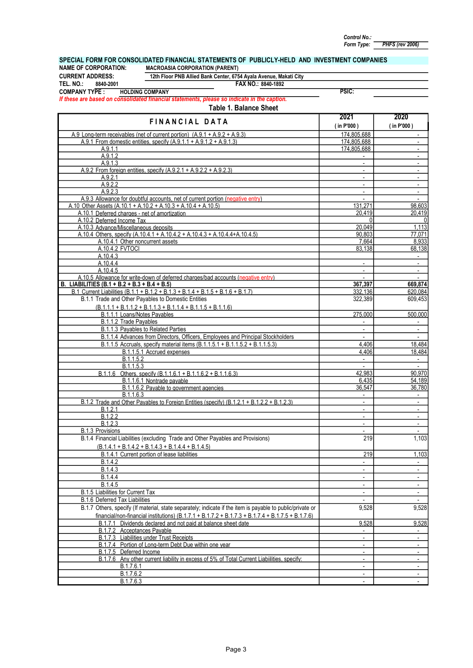PHFS (rev 2006) Control No.: Form Type:

#### FAX NO.: TEL. NO.: 8840-1892 PSIC: 2021 2020<br>(in P'000) (in P'000) n P'000 ) (in P'000 )<br>174,805,688 A.9 Long-term receivables (net of current portion)  $(A.9.1 + A.9.2 + A.9.3)$  174,805,688  $\vert$ 174,805,688 A.9.1.1 **174,805,688** - 2000 - 2000 - 2000 - 2000 - 2000 - 2000 - 2000 - 2000 - 2000 - 2000 - 2000 - 2000 - 2000 -A.9.1.2 - - A.9.1.3 - - - - A.9.2.1 - - A.9.2.2 - - A.9.2.3 - - Allowance for doubtful accounts, net of current portion (negative entry) and the state of the state of current portion (negative entry) A.9.3 A.10.1 CURRENT ADDRESS:<br>TEL. NO.: 8840-200 TEL. NO.: 8840-2001<br>COMPANY TYPE : Deferred charges - net of amortization FINANCIAL DATA A.9.2 From foreign entities, specify (A.9.2.1 + A.9.2.2 + A.9.2.3) A.9.1 From domestic entities, specify  $(A.9.1.1 + A.9.1.2 + A.9.1.3)$ SPECIAL FORM FOR CONSOLIDATED FINANCIAL STATEMENTS OF PUBLICLY-HELD AND INVESTMENT COMPANIES<br>NAME OF CORPORATION: MACROASIA CORPORATION (PARENT) NAME OF CORPORATION: MACROASIA CORPORATION (PARENT) 12th Floor PNB Allied Bank Center, 6754 Ayala Avenue, Makati City If these are based on consolidated financial statements, please so indicate in the caption. HOLDING COMPANY Table 1. Balance Sheet

| A.9.1.1                                                                                                    | 174,805,688              | $\overline{\phantom{a}}$ |
|------------------------------------------------------------------------------------------------------------|--------------------------|--------------------------|
| A.9.1.2                                                                                                    |                          | $\overline{\phantom{a}}$ |
| A.9.1.3                                                                                                    | $\sim$                   | $\sim$                   |
| A.9.2 From foreign entities, specify (A.9.2.1 + A.9.2.2 + A.9.2.3)                                         |                          | $\overline{\phantom{a}}$ |
| A.9.2.1                                                                                                    | $\overline{\phantom{a}}$ | $\sim$                   |
| A.9.2.2                                                                                                    | $\overline{\phantom{a}}$ | $\overline{\phantom{a}}$ |
| A.9.2.3                                                                                                    | $\overline{\phantom{a}}$ | $\sim$                   |
| A.9.3 Allowance for doubtful accounts, net of current portion (negative entry)                             |                          |                          |
| A.10 Other Assets (A.10.1 + A.10.2 + A.10.3 + A.10.4 + A.10.5)                                             | 131,271                  | 98,603                   |
| A.10.1 Deferred charges - net of amortization                                                              | 20,419                   | 20,419                   |
| A.10.2 Deferred Income Tax                                                                                 | $\Omega$                 | $\mathbf{0}$             |
| A.10.3 Advance/Miscellaneous deposits                                                                      | 20,049                   | 1,113                    |
| A.10.4 Others, specify (A.10.4.1 + A.10.4.2 + A.10.4.3 + A.10.4.4+A.10.4.5)                                | 90,803                   | 77.071                   |
| A.10.4.1 Other noncurrent assets                                                                           | 7,664                    | 8,933                    |
| A.10.4.2 FVTOCI                                                                                            | 83,138                   | 68,138                   |
| A.10.4.3                                                                                                   |                          | $\sim$                   |
| A.10.4.4                                                                                                   | $\overline{\phantom{a}}$ | $\sim$                   |
| A.10.4.5                                                                                                   | $\overline{\phantom{a}}$ | $\sim$                   |
| A.10.5 Allowance for write-down of deferred charges/bad accounts (negative entry)                          | $\overline{\phantom{a}}$ | $\sim$                   |
| B. LIABILITIES (B.1 + B.2 + B.3 + B.4 + B.5)                                                               | 367,397                  | 669,874                  |
| B.1 Current Liabilities (B.1.1 + B.1.2 + B.1.3 + B.1.4 + B.1.5 + B.1.6 + B.1.7)                            | 332.136                  | 620.084                  |
| B.1.1 Trade and Other Payables to Domestic Entities                                                        |                          | 609,453                  |
|                                                                                                            | 322,389                  |                          |
| $(B.1.1.1 + B.1.1.2 + B.1.1.3 + B.1.1.4 + B.1.1.5 + B.1.1.6)$                                              |                          |                          |
| B.1.1.1 Loans/Notes Pavables                                                                               | 275,000                  | 500.000                  |
| B.1.1.2 Trade Payables                                                                                     |                          |                          |
| B.1.1.3 Payables to Related Parties                                                                        | $\blacksquare$           | $\sim$                   |
| B.1.1.4 Advances from Directors, Officers, Employees and Principal Stockholders                            |                          |                          |
| B.1.1.5 Accruals, specify material items (B.1.1.5.1 + B.1.1.5.2 + B.1.1.5.3)                               | 4.406                    | 18,484                   |
| B.1.1.5.1 Accrued expenses                                                                                 | 4.406                    | 18,484                   |
| B.1.1.5.2                                                                                                  | $\sim$                   | $\sim$                   |
| B.1.1.5.3                                                                                                  | $\sim$                   | $\sim$                   |
| B.1.1.6 Others, specify (B.1.1.6.1 + B.1.1.6.2 + B.1.1.6.3)                                                | 42,983                   | 90.970                   |
| B.1.1.6.1 Nontrade payable                                                                                 | 6,435                    | 54,189                   |
| B.1.1.6.2 Payable to government agencies                                                                   | 36.547                   | 36,780                   |
| B.1.1.6.3                                                                                                  | $\overline{\phantom{a}}$ | $\sim$                   |
| B.1.2 Trade and Other Payables to Foreign Entities (specify) (B.1.2.1 + B.1.2.2 + B.1.2.3)                 | $\sim$                   | $\sim$                   |
| B.1.2.1                                                                                                    | $\overline{\phantom{a}}$ | $\sim$                   |
| B.1.2.2                                                                                                    | $\sim$                   | $\sim$                   |
| B.1.2.3                                                                                                    | $\overline{\phantom{a}}$ | $\sim$                   |
| B.1.3 Provisions                                                                                           |                          |                          |
| B.1.4 Financial Liabilities (excluding Trade and Other Payables and Provisions)                            | 219                      | 1,103                    |
|                                                                                                            |                          |                          |
| $(B.1.4.1 + B.1.4.2 + B.1.4.3 + B.1.4.4 + B.1.4.5)$                                                        |                          |                          |
| B.1.4.1 Current portion of lease liabilities                                                               | 219                      | 1,103                    |
| B.1.4.2                                                                                                    | $\overline{\phantom{0}}$ | $\overline{\phantom{a}}$ |
| B.1.4.3                                                                                                    | $\overline{\phantom{a}}$ | $\overline{\phantom{a}}$ |
| B.1.4.4                                                                                                    | $\sim$                   | $\sim$                   |
| B.1.4.5                                                                                                    | $\blacksquare$           | $\overline{\phantom{a}}$ |
| B.1.5 Liabilities for Current Tax                                                                          | $\overline{\phantom{a}}$ | $\overline{\phantom{a}}$ |
| B.1.6 Deferred Tax Liabilities                                                                             | $\blacksquare$           | $\blacksquare$           |
| B.1.7 Others, specify (If material, state separately; indicate if the item is payable to public/private or | 9,528                    | 9,528                    |
|                                                                                                            |                          |                          |
| financial/non-financial institutions) $(B.1.7.1 + B.1.7.2 + B.1.7.3 + B.1.7.4 + B.1.7.5 + B.1.7.6)$        |                          |                          |
| Dividends declared and not paid at balance sheet date<br>B.1.7.1                                           | 9,528                    | 9,528                    |
| B.1.7.2 Acceptances Payable                                                                                |                          |                          |
| <b>B.1.7.3</b> Liabilities under Trust Receipts                                                            | $\blacksquare$           | $\overline{\phantom{a}}$ |
| B.1.7.4 Portion of Long-term Debt Due within one year                                                      | $\blacksquare$           | $\blacksquare$           |
| B.1.7.5 Deferred Income                                                                                    | $\overline{\phantom{a}}$ | $\overline{\phantom{a}}$ |
| B.1.7.6 Any other current liability in excess of 5% of Total Current Liabilities, specify:                 | $\blacksquare$           | $\sim$                   |
| B.1.7.6.1                                                                                                  | $\blacksquare$           | $\overline{\phantom{a}}$ |
| B.1.7.6.2                                                                                                  |                          | $\overline{\phantom{a}}$ |
| B.1.7.6.3                                                                                                  | $\overline{\phantom{a}}$ | $\overline{\phantom{a}}$ |
|                                                                                                            |                          |                          |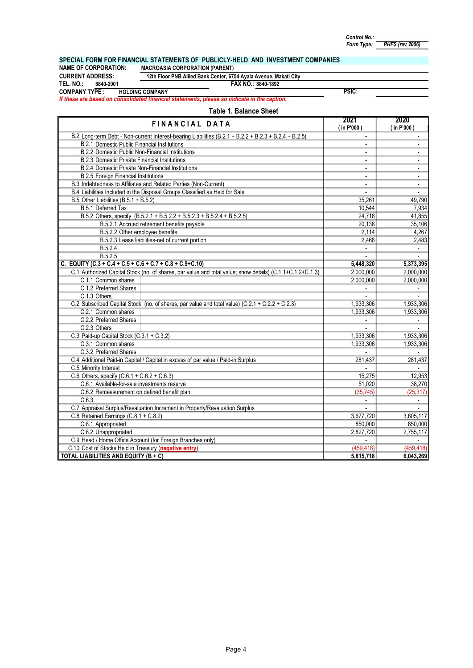PHFS (rev 2006)

# SPECIAL FORM FOR FINANCIAL STATEMENTS OF PUBLICLY-HELD AND INVESTMENT COMPANIES NAME OF CORPORATION: MACROASIA CORPORATION (PARENT)

NAME OF CORPORATION: MACROASIA CORPORATION (PARENT)<br>CURRENT ADDRESS: 12th Floor PNB Allied Bank Center, 67

FAX NO.: TEL. NO.: 8840-2001 8840-1892 CURRENT ADDRESS: 12th Floor PNB Allied Bank Center, 6754 Ayala Avenue, Makati City<br>TEL. NO.: 8840-2001 FAX NO.: 8840-1892

COMPANY TYPE : HOLDING COMPANY

If these are based on consolidated financial statements, please so indicate in the caption.

| <b>FINANCIAL DATA</b>                                                                                     | 2021<br>(in P'000)       | 2020<br>(in P'000) |
|-----------------------------------------------------------------------------------------------------------|--------------------------|--------------------|
| B.2 Long-term Debt - Non-current Interest-bearing Liabilities (B.2.1 + B.2.2 + B.2.3 + B.2.4 + B.2.5)     | ä,                       |                    |
| <b>B.2.1 Domestic Public Financial Institutions</b>                                                       | $\overline{\phantom{a}}$ |                    |
| <b>B.2.2 Domestic Public Non-Financial Institutions</b>                                                   | $\blacksquare$           | $\blacksquare$     |
| <b>B.2.3 Domestic Private Financial Institutions</b>                                                      | $\overline{\phantom{a}}$ | $\sim$             |
| B.2.4 Domestic Private Non-Financial Institutions                                                         | $\blacksquare$           | $\blacksquare$     |
| <b>B.2.5 Foreign Financial Institutions</b>                                                               | $\blacksquare$           | $\blacksquare$     |
| B.3 Indebtedness to Affiliates and Related Parties (Non-Current)                                          | $\blacksquare$           | $\blacksquare$     |
| B.4 Liabilities Included in the Disposal Groups Classified as Held for Sale                               | $\overline{\phantom{a}}$ | $\blacksquare$     |
| B.5 Other Liabilities (B.5.1 + B.5.2)                                                                     | 35.261                   | 49,790             |
| B.5.1 Deferred Tax                                                                                        | 10,544                   | 7,934              |
| B.5.2 Others, specify (B.5.2.1 + B.5.2.2 + B.5.2.3 + B.5.2.4 + B.5.2.5)                                   | 24,718                   | 41,855             |
| B.5.2.1 Accrued retirement benefits payable                                                               | 20,138                   | 35,106             |
| B.5.2.2 Other employee benefits                                                                           | 2,114                    | 4,267              |
| B.5.2.3 Lease liabilities-net of current portion                                                          | 2,466                    | 2,483              |
| B.5.2.4                                                                                                   | $\mathbf{r}$             | $\omega_{\rm c}$   |
| B.5.2.5                                                                                                   |                          |                    |
| C. EQUITY (C.3 + C.4 + C.5 + C.6 + C.7 + C.8 + C.9+C.10)                                                  | 5,448,320                | 5,373,395          |
| C.1 Authorized Capital Stock (no. of shares, par value and total value; show details) (C.1.1+C.1.2+C.1.3) | 2.000.000                | 2.000.000          |
| C.1.1 Common shares                                                                                       | 2,000,000                | 2,000,000          |
| C.1.2 Preferred Shares                                                                                    |                          |                    |
| C.1.3 Others                                                                                              |                          |                    |
| C.2 Subscribed Capital Stock (no. of shares, par value and total value) (C.2.1 + C.2.2 + C.2.3)           | 1,933,306                | 1,933,306          |
| C.2.1 Common shares                                                                                       | 1,933,306                | 1,933,306          |
| C.2.2 Preferred Shares                                                                                    |                          |                    |
| C.2.3 Others                                                                                              |                          |                    |
| C.3 Paid-up Capital Stock (C.3.1 + C.3.2)                                                                 | 1,933,306                | 1,933,306          |
| C.3.1 Common shares                                                                                       | 1,933,306                | 1,933,306          |
| C.3.2 Preferred Shares                                                                                    |                          |                    |
| C.4 Additional Paid-in Capital / Capital in excess of par value / Paid-in Surplus                         | 281,437                  | 281,437            |
| C.5 Minority Interest                                                                                     | $\overline{a}$           | $\overline{a}$     |
| C.6 Others, specify $(C.6.1 + C.6.2 + C.6.3)$                                                             | 15,275                   | 12,953             |
| C.6.1 Available-for-sale investments reserve                                                              | 51,020                   | 38,270             |
| C.6.2 Remeasurement on defined benefit plan                                                               | (35, 745)                | (25, 317)          |
| C.6.3                                                                                                     | $\blacksquare$           | $\blacksquare$     |
| C.7 Appraisal Surplus/Revaluation Increment in Property/Revaluation Surplus                               |                          |                    |
| C.8 Retained Earnings (C.8.1 + C.8.2)                                                                     | 3,677,720                | 3,605,117          |
| C.8.1 Appropriated                                                                                        | 850,000                  | 850.000            |
| C.8.2 Unappropriated                                                                                      | 2,827,720                | 2,755,117          |
| C.9 Head / Home Office Account (for Foreign Branches only)                                                |                          |                    |
| C.10 Cost of Stocks Held in Treasury (negative entry)                                                     | (459, 418)               | (459, 418)         |
| TOTAL LIABILITIES AND EQUITY (B + C)                                                                      | 5,815,718                | 6,043,269          |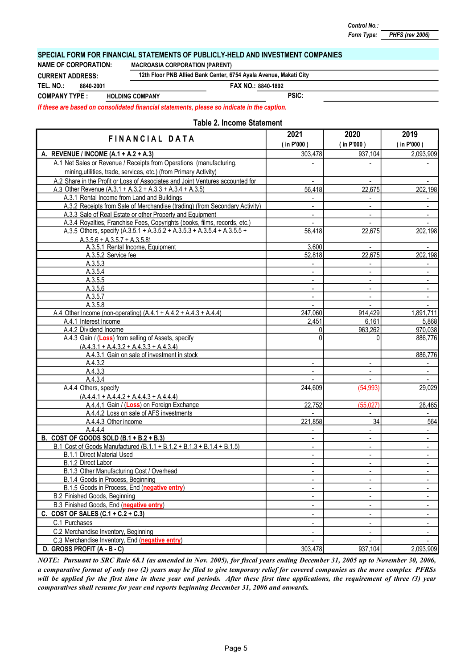#### PHFS (rev 2006)

### SPECIAL FORM FOR FINANCIAL STATEMENTS OF PUBLICLY-HELD AND INVESTMENT COMPANIES

NAME OF CORPORATION: MACROASIA CORPORATION (PARENT)

8840-2001

CURRENT ADDRESS: 12th Floor PNB Allied Bank Center, 6754 Ayala Avenue, Makati City

TEL. NO.: 8840-2001 8840-2001 8840-1892

COMPANY TYPE : HOLDING COMPANY

PSIC:

If these are based on consolidated financial statements, please so indicate in the caption.

#### Table 2. Income Statement

| FINANCIAL DATA                                                                           | 2021                     | 2020                         | 2019                     |
|------------------------------------------------------------------------------------------|--------------------------|------------------------------|--------------------------|
|                                                                                          | (in P'000)               | (in P'000)                   | (in P'000)               |
| A. REVENUE / INCOME (A.1 + A.2 + A.3)                                                    | 303,478                  | 937,104                      | 2,093,909                |
| A.1 Net Sales or Revenue / Receipts from Operations (manufacturing,                      |                          |                              |                          |
| mining, utilities, trade, services, etc.) (from Primary Activity)                        |                          |                              |                          |
| A.2 Share in the Profit or Loss of Associates and Joint Ventures accounted for           | $\blacksquare$           | $\blacksquare$               |                          |
| A.3 Other Revenue (A.3.1 + A.3.2 + A.3.3 + A.3.4 + A.3.5)                                | 56,418                   | 22,675                       | 202,198                  |
| A.3.1 Rental Income from Land and Buildings                                              | $\overline{a}$           | $\blacksquare$               |                          |
| A.3.2 Receipts from Sale of Merchandise (trading) (from Secondary Activity)              | ÷.                       | $\mathbb{L}^+$               | $\mathbf{r}$             |
| A.3.3 Sale of Real Estate or other Property and Equipment                                | $\overline{\phantom{a}}$ | $\blacksquare$               | $\blacksquare$           |
| A.3.4 Royalties, Franchise Fees, Copyrights (books, films, records, etc.)                |                          | $\overline{\phantom{a}}$     |                          |
| A.3.5 Others, specify (A.3.5.1 + A.3.5.2 + A.3.5.3 + A.3.5.4 + A.3.5.5 +                 | 56,418                   | 22,675                       | 202,198                  |
| $A.3.5.6 + A.3.5.7 + A.3.5.8$                                                            |                          |                              |                          |
| A.3.5.1 Rental Income, Equipment                                                         | 3,600                    | $\blacksquare$               |                          |
| A.3.5.2 Service fee                                                                      | 52,818                   | 22,675                       | 202,198                  |
| A.3.5.3                                                                                  |                          |                              |                          |
| A.3.5.4                                                                                  | $\blacksquare$           | $\blacksquare$               | $\blacksquare$           |
| A.3.5.5                                                                                  |                          | $\overline{\phantom{a}}$     |                          |
| A.3.5.6                                                                                  |                          | $\overline{\phantom{a}}$     |                          |
| A.3.5.7                                                                                  |                          | $\blacksquare$               |                          |
| A.3.5.8                                                                                  | $\blacksquare$           | $\mathbf{L}$                 | $\blacksquare$           |
| A.4 Other Income (non-operating) $(A.4.1 + A.4.2 + A.4.3 + A.4.4)$                       | 247,060                  | 914,429                      | 1,891,711                |
| A.4.1 Interest Income                                                                    | 2,451                    | 6,161                        | 5,868                    |
| A.4.2 Dividend Income                                                                    | $\Omega$                 | 963,262                      | 970,038                  |
| A.4.3 Gain / (Loss) from selling of Assets, specify                                      | $\Omega$                 | $\Omega$                     | 886,776                  |
| $(A.4.3.1 + A.4.3.2 + A.4.3.3 + A.4.3.4)$<br>A.4.3.1 Gain on sale of investment in stock |                          |                              | 886,776                  |
| A.4.3.2                                                                                  |                          | $\overline{\phantom{0}}$     |                          |
| A.4.3.3                                                                                  | $\blacksquare$           | $\blacksquare$               | $\overline{\phantom{a}}$ |
| A.4.3.4                                                                                  |                          | $\blacksquare$               |                          |
| A.4.4 Others, specify                                                                    | 244,609                  | (54, 993)                    | 29,029                   |
| $(A.4.4.1 + A.4.4.2 + A.4.4.3 + A.4.4.4)$                                                |                          |                              |                          |
| A.4.4.1 Gain / (Loss) on Foreign Exchange                                                | 22,752                   | (55,027)                     | 28,465                   |
| A.4.4.2 Loss on sale of AFS investments                                                  |                          |                              |                          |
| A.4.4.3 Other income                                                                     | 221,858                  | 34                           | 564                      |
| A.4.4.4                                                                                  |                          |                              |                          |
| B. COST OF GOODS SOLD $(B.1 + B.2 + B.3)$                                                | $\blacksquare$           | $\blacksquare$               | $\blacksquare$           |
| B.1 Cost of Goods Manufactured (B.1.1 + B.1.2 + B.1.3 + B.1.4 + B.1.5)                   |                          | $\blacksquare$               | $\blacksquare$           |
| <b>B.1.1 Direct Material Used</b>                                                        | $\overline{a}$           | $\blacksquare$               | $\overline{\phantom{a}}$ |
| B.1.2 Direct Labor                                                                       | $\blacksquare$           | $\blacksquare$               | $\mathbf{r}$             |
| B.1.3 Other Manufacturing Cost / Overhead                                                | $\blacksquare$           | $\blacksquare$               | $\overline{\phantom{a}}$ |
| B.1.4 Goods in Process, Beginning                                                        |                          | $\overline{\phantom{a}}$     | $\overline{\phantom{a}}$ |
| B.1.5 Goods in Process, End (negative entry)                                             |                          |                              |                          |
| B.2 Finished Goods, Beginning                                                            |                          |                              |                          |
| B.3 Finished Goods, End (negative entry)                                                 |                          | $\overline{\phantom{0}}$     |                          |
| C. COST OF SALES $(C.1 + C.2 + C.3)$                                                     | $\blacksquare$           | $\overline{\phantom{a}}$     |                          |
| C.1 Purchases                                                                            | ۰                        | $\qquad \qquad \blacksquare$ |                          |
| C.2 Merchandise Inventory, Beginning                                                     | $\blacksquare$           | $\overline{\phantom{a}}$     |                          |
| C.3 Merchandise Inventory, End (negative entry)                                          |                          | $\blacksquare$               |                          |
| D. GROSS PROFIT (A - B - C)                                                              | 303,478                  | 937,104                      | 2,093,909                |

NOTE: Pursuant to SRC Rule 68.1 (as amended in Nov. 2005), for fiscal years ending December 31, 2005 up to November 30, 2006, a comparative format of only two (2) years may be filed to give temporary relief for covered companies as the more complex PFRSs will be applied for the first time in these year end periods. After these first time applications, the requirement of three (3) year comparatives shall resume for year end reports beginning December 31, 2006 and onwards.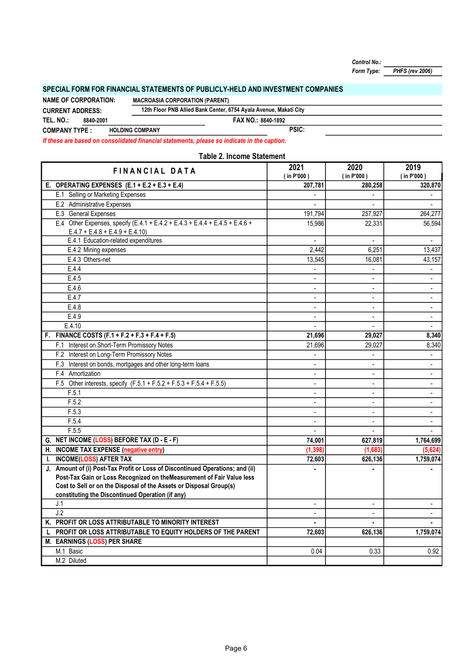Control No.:

PHFS (rev 2006) Form Type:

## SPECIAL FORM FOR FINANCIAL STATEMENTS OF PUBLICLY-HELD AND INVESTMENT COMPANIES

FAX NO.: 8840-1892 PSIC: 12th Floor PNB Allied Bank Center, 6754 Ayala Avenue, Makati City TEL. NO.: COMPANY TYPE : HOLDING COMPANY CURRENT ADDRESS: 8840-2001 NAME OF CORPORATION: MACROASIA CORPORATION (PARENT)

If these are based on consolidated financial statements, please so indicate in the caption.

| <b>Table 2. Income Statement</b>                                                                                 |                          |                       |                    |  |  |
|------------------------------------------------------------------------------------------------------------------|--------------------------|-----------------------|--------------------|--|--|
| <b>FINANCIAL DATA</b>                                                                                            | 2021<br>(in P'000)       | 2020<br>$($ in P'000) | 2019<br>(in P'000) |  |  |
| E. OPERATING EXPENSES $(E.1 + E.2 + E.3 + E.4)$                                                                  | 207,781                  | 280,258               | 320,870            |  |  |
| E.1 Selling or Marketing Expenses                                                                                |                          |                       |                    |  |  |
| E.2 Administrative Expenses                                                                                      | $\blacksquare$           |                       | $\blacksquare$     |  |  |
| E.3 General Expenses                                                                                             | 191,794                  | 257,927               | 264,277            |  |  |
| E.4 Other Expenses, specify (E.4.1 + E.4.2 + E.4.3 + E.4.4 + E.4.5 + E.4.6 +<br>$E.4.7 + E.4.8 + E.4.9 + E.4.10$ | 15,986                   | 22,331                | 56,594             |  |  |
| E.4.1 Education-related expenditures                                                                             |                          |                       | $\blacksquare$     |  |  |
| E.4.2 Mining expenses                                                                                            | 2,442                    | 6,251                 | 13,437             |  |  |
| E.4.3 Others-net                                                                                                 | 13,545                   | 16,081                | 43,157             |  |  |
| E.4.4                                                                                                            |                          |                       |                    |  |  |
| E.4.5                                                                                                            | ÷                        |                       | $\overline{a}$     |  |  |
| E.4.6                                                                                                            | ä,                       | $\blacksquare$        | $\blacksquare$     |  |  |
| E.4.7                                                                                                            | ÷                        |                       | $\blacksquare$     |  |  |
| E.4.8                                                                                                            | ÷                        |                       | $\blacksquare$     |  |  |
| E.4.9                                                                                                            | ÷                        | $\blacksquare$        | $\blacksquare$     |  |  |
| E.4.10                                                                                                           |                          |                       |                    |  |  |
| F. FINANCE COSTS $(F.1 + F.2 + F.3 + F.4 + F.5)$                                                                 | 21,696                   | 29,027                | 8,340              |  |  |
| F.1 Interest on Short-Term Promissory Notes                                                                      | 21,696                   | 29,027                | 8,340              |  |  |
| F.2 Interest on Long-Term Promissory Notes                                                                       |                          |                       | $\blacksquare$     |  |  |
| F.3 Interest on bonds, mortgages and other long-term loans                                                       | ä,                       |                       | $\blacksquare$     |  |  |
| F.4 Amortization                                                                                                 | $\overline{\phantom{0}}$ |                       |                    |  |  |
| F.5 Other interests, specify (F.5.1 + F.5.2 + F.5.3 + F.5.4 + F.5.5)                                             | ä,                       |                       | $\overline{a}$     |  |  |
| F.5.1                                                                                                            | $\frac{1}{2}$            | $\blacksquare$        | $\blacksquare$     |  |  |
| F.5.2                                                                                                            | ÷                        | $\blacksquare$        | $\blacksquare$     |  |  |
| F.5.3                                                                                                            | $\overline{\phantom{0}}$ |                       |                    |  |  |
| F.5.4                                                                                                            | ÷                        | $\overline{a}$        | $\blacksquare$     |  |  |
| F.5.5                                                                                                            | ÷.                       |                       |                    |  |  |
| G. NET INCOME (LOSS) BEFORE TAX (D - E - F)                                                                      | 74,001                   | 627,819               | 1,764,699          |  |  |
| H. INCOME TAX EXPENSE (negative entry)                                                                           | (1, 398)                 | (1,683)               | (5,624)            |  |  |
| <b>INCOME(LOSS) AFTER TAX</b><br>L.                                                                              | 72,603                   | 626,136               | 1,759,074          |  |  |
| J. Amount of (i) Post-Tax Profit or Loss of Discontinued Operations; and (ii)                                    |                          |                       |                    |  |  |
| Post-Tax Gain or Loss Recognized on theMeasurement of Fair Value less                                            |                          |                       |                    |  |  |
| Cost to Sell or on the Disposal of the Assets or Disposal Group(s)                                               |                          |                       |                    |  |  |
| constituting the Discontinued Operation (if any)                                                                 |                          |                       |                    |  |  |
| J.1                                                                                                              |                          |                       |                    |  |  |
| J.2                                                                                                              | $\blacksquare$           | $\blacksquare$        | $\blacksquare$     |  |  |
| K. PROFIT OR LOSS ATTRIBUTABLE TO MINORITY INTEREST                                                              | ٠                        |                       | ٠                  |  |  |
| PROFIT OR LOSS ATTRIBUTABLE TO EQUITY HOLDERS OF THE PARENT<br>L                                                 | 72,603                   | 626,136               | 1,759,074          |  |  |
| M. EARNINGS (LOSS) PER SHARE                                                                                     |                          |                       |                    |  |  |
| M.1 Basic                                                                                                        | 0.04                     | 0.33                  | 0.92               |  |  |
| M.2 Diluted                                                                                                      |                          |                       |                    |  |  |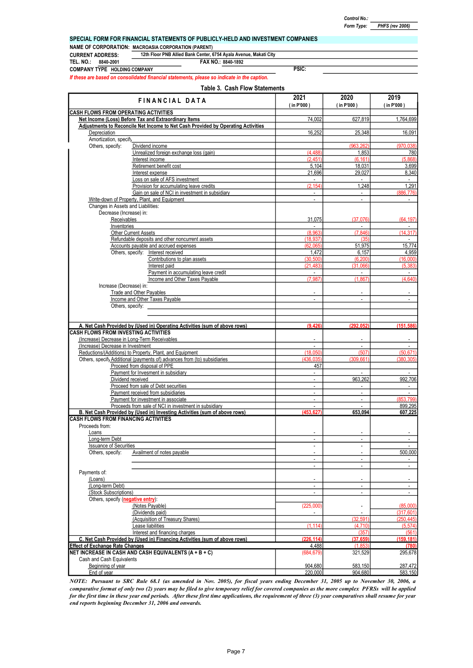| Control No.: |                        |
|--------------|------------------------|
| Form Type:   | <b>PHFS (rev 2006)</b> |

|                                                     | SPECIAL FORM FOR FINANCIAL STATEMENTS OF PUBLICLY-HELD AND INVESTMENT COMPANIES             |              |  |  |  |  |
|-----------------------------------------------------|---------------------------------------------------------------------------------------------|--------------|--|--|--|--|
| NAME OF CORPORATION: MACROASIA CORPORATION (PARENT) |                                                                                             |              |  |  |  |  |
| <b>CURRENT ADDRESS:</b>                             | 12th Floor PNB Allied Bank Center, 6754 Ayala Avenue, Makati City                           |              |  |  |  |  |
| TEL. NO.:<br>8840-2001                              | FAX NO.: 8840-1892                                                                          |              |  |  |  |  |
| <b>COMPANY TYPE HOLDING COMPANY</b>                 |                                                                                             | <b>PSIC:</b> |  |  |  |  |
|                                                     | If these are based on consolidated financial statements, please so indicate in the caption. |              |  |  |  |  |

#### Table 3. Cash Flow Statements

| FINANCIAL DATA                                                                                                                      | 2021<br>$($ in P'000 $)$  | 2020<br>(in P'000)        | 2019<br>(in P'000)  |  |
|-------------------------------------------------------------------------------------------------------------------------------------|---------------------------|---------------------------|---------------------|--|
| <b>CASH FLOWS FROM OPERATING ACTIVITIES</b>                                                                                         |                           |                           |                     |  |
| Net Income (Loss) Before Tax and Extraordinary Items                                                                                | 74.002                    | 627,819                   | 1,764,699           |  |
| Adjustments to Reconcile Net Income to Net Cash Provided by Operating Activities                                                    |                           |                           |                     |  |
| Depreciation                                                                                                                        | 16,252                    | 25,348                    | 16.091              |  |
| Amortization, specify<br>Others, specify:<br>Dividend income                                                                        |                           | (963, 262)                | (970.038)           |  |
| Unrealized foreign exchange loss (gain)                                                                                             | (4.488)                   | 1,853                     | 780                 |  |
| Interest income                                                                                                                     | (2.451)                   | (6.161)                   | (5.868)             |  |
| Retirement benefit cost                                                                                                             | 5,104                     | 18.031                    | 3.699               |  |
| Interest expense                                                                                                                    | 21.696                    | 29,027                    | 8,340               |  |
| Loss on sale of AFS investment                                                                                                      | $\mathbb{Z}^{\mathbb{Z}}$ | $\mathcal{L}$             | $\sim$              |  |
| Provision for accumulating leave credits                                                                                            | (2.154)                   | 1,248                     | 1,291               |  |
| Gain on sale of NCI in investment in subsidiary<br>Write-down of Property, Plant, and Equipment                                     | $\overline{a}$            | $\mathbb{Z}^{\mathbb{Z}}$ | (886.776)<br>$\sim$ |  |
| Changes in Assets and Liabilities:                                                                                                  |                           |                           |                     |  |
| Decrease (Increase) in:                                                                                                             |                           |                           |                     |  |
| Receivables                                                                                                                         | 31,075                    | (37,076)                  | (64, 197)           |  |
| Inventories                                                                                                                         |                           |                           |                     |  |
| <b>Other Current Assets</b>                                                                                                         | (8.963)                   | (7.846)                   | (14, 317)           |  |
| Refundable deposits and other noncurrent assets                                                                                     | (18.937)                  | (35)                      | $\sim$              |  |
| Accounts payable and accrued expenses                                                                                               | (62,065)                  | 51,975                    | 15,774              |  |
| Others, specify: Interest received                                                                                                  | 1.472                     | 6,157                     | 4.959               |  |
| Contributions to plan assets                                                                                                        | (30, 500)<br>(21.483)     | (6, 200)                  | (16,000)            |  |
| Interest paid<br>Payment in accumulating leave credit                                                                               | $\sim$                    | (31,066)<br>$\sim$        | (5, 383)<br>$\sim$  |  |
| Income and Other Taxes Payable                                                                                                      | (7, 987)                  | (1.867)                   | (4,640)             |  |
| Increase (Decrease) in:                                                                                                             |                           |                           |                     |  |
| <b>Trade and Other Payables</b>                                                                                                     |                           |                           |                     |  |
| Income and Other Taxes Payable                                                                                                      | ä,                        | $\mathbb{Z}^{\mathbb{Z}}$ | $\sim$              |  |
| Others, specify:                                                                                                                    |                           |                           |                     |  |
|                                                                                                                                     |                           |                           |                     |  |
|                                                                                                                                     |                           |                           |                     |  |
| A. Net Cash Provided by (Used in) Operating Activities (sum of above rows)                                                          | (9.426)                   | (292.052)                 | (151, 586)          |  |
| <b>CASH FLOWS FROM INVESTING ACTIVITIES</b>                                                                                         |                           |                           |                     |  |
| (Increase) Decrease in Long-Term Receivables<br>(Increase) Decrease in Investment                                                   | L.                        | $\mathbf{r}$              |                     |  |
| Reductions/(Additions) to Property, Plant, and Equipment                                                                            | (18,050)                  | (507)                     | (50, 671)           |  |
| Others, specify Additional (payments of) advances from (to) subsidiaries                                                            | (436.035)                 | (309.661)                 | (380.305)           |  |
| Proceed from disposal of PPE                                                                                                        | 457                       |                           |                     |  |
| Payment for Invesment in subsidiary                                                                                                 | $\overline{\phantom{a}}$  |                           |                     |  |
| Dividend received                                                                                                                   | ä,                        | 963,262                   | 992,706             |  |
| Proceed from sale of Debt securities                                                                                                | $\blacksquare$            |                           |                     |  |
| Payment received from subsidiaries                                                                                                  | $\sim$                    | $\sim$                    | $\sim$              |  |
| Payment for investment in associate                                                                                                 | ä,                        | $\mathbb{Z}^{\mathbb{Z}}$ | (853.799)           |  |
| Proceeds from sale of NCI in investment in subsidiary<br>B. Net Cash Provided by (Used in) Investing Activities (sum of above rows) | $\mathbf{r}$<br>(453.627) | 653,094                   | 899,295<br>607.225  |  |
| <b>CASH FLOWS FROM FINANCING ACTIVITIES</b>                                                                                         |                           |                           |                     |  |
| Proceeds from:                                                                                                                      |                           |                           |                     |  |
| Loans                                                                                                                               |                           |                           |                     |  |
| Long-term Debt                                                                                                                      | $\mathbf{r}$              | $\sim$                    | $\mathbf{r}$        |  |
| <b>Issuance of Securities</b>                                                                                                       |                           |                           |                     |  |
| Availment of notes payable<br>Others, specify:                                                                                      |                           |                           | 500,000             |  |
|                                                                                                                                     | ä,                        | $\sim$                    |                     |  |
|                                                                                                                                     | ä,                        | $\mathbb{Z}^+$            | $\omega$            |  |
| Payments of:<br>(Loans)                                                                                                             |                           |                           |                     |  |
| (Long-term Debt)                                                                                                                    | ä,                        | $\mathbf{r}$              | ä,                  |  |
| (Stock Subscriptions)                                                                                                               | ÷.                        | ×.                        | $\blacksquare$      |  |
| Others, specify (negative entry):                                                                                                   |                           |                           |                     |  |
| (Notes Payable)                                                                                                                     | (225,000)                 | $\tilde{\phantom{a}}$     | (85,000)            |  |
| (Dividends paid)                                                                                                                    |                           |                           | (317, 601)          |  |
| (Acquisition of Treasury Shares)                                                                                                    |                           | (32.591)                  | (250.445)           |  |
| Lease liabilities                                                                                                                   | (1, 114)                  | (4,710)                   | (5, 574)            |  |
| Interest and financing charges                                                                                                      |                           | (357)                     | (561)               |  |
| C. Net Cash Provided by (Used in) Financing Activities (sum of above rows)                                                          | (226, 114)                | (37, 659)                 | (159.181)           |  |
| <b>Effect of Exchange Rate Changes</b><br>NET INCREASE IN CASH AND CASH EQUIVALENTS (A + B + C)                                     | 4,488                     | (1,853)<br>321,529        | (780)<br>295,678    |  |
| Cash and Cash Equivalents                                                                                                           | (684, 679)                |                           |                     |  |
| Beginning of year                                                                                                                   | 904,680                   | 583,150                   | 287,472             |  |
| End of year                                                                                                                         | 220,000                   | 904,680                   | 583,150             |  |

NOTE: Pursuant to SRC Rule 68.1 (as amended in Nov. 2005), for fiscal years ending December 31, 2005 up to November 30, 2006, a comparative format of only two (2) years may be filed to give temporary relief for covered companies as the more complex PFRSs will be applied for the first time in these year end periods. After these first time applications, the requirement of three (3) year comparatives shall resume for year end reports beginning December 31, 2006 and onwards.